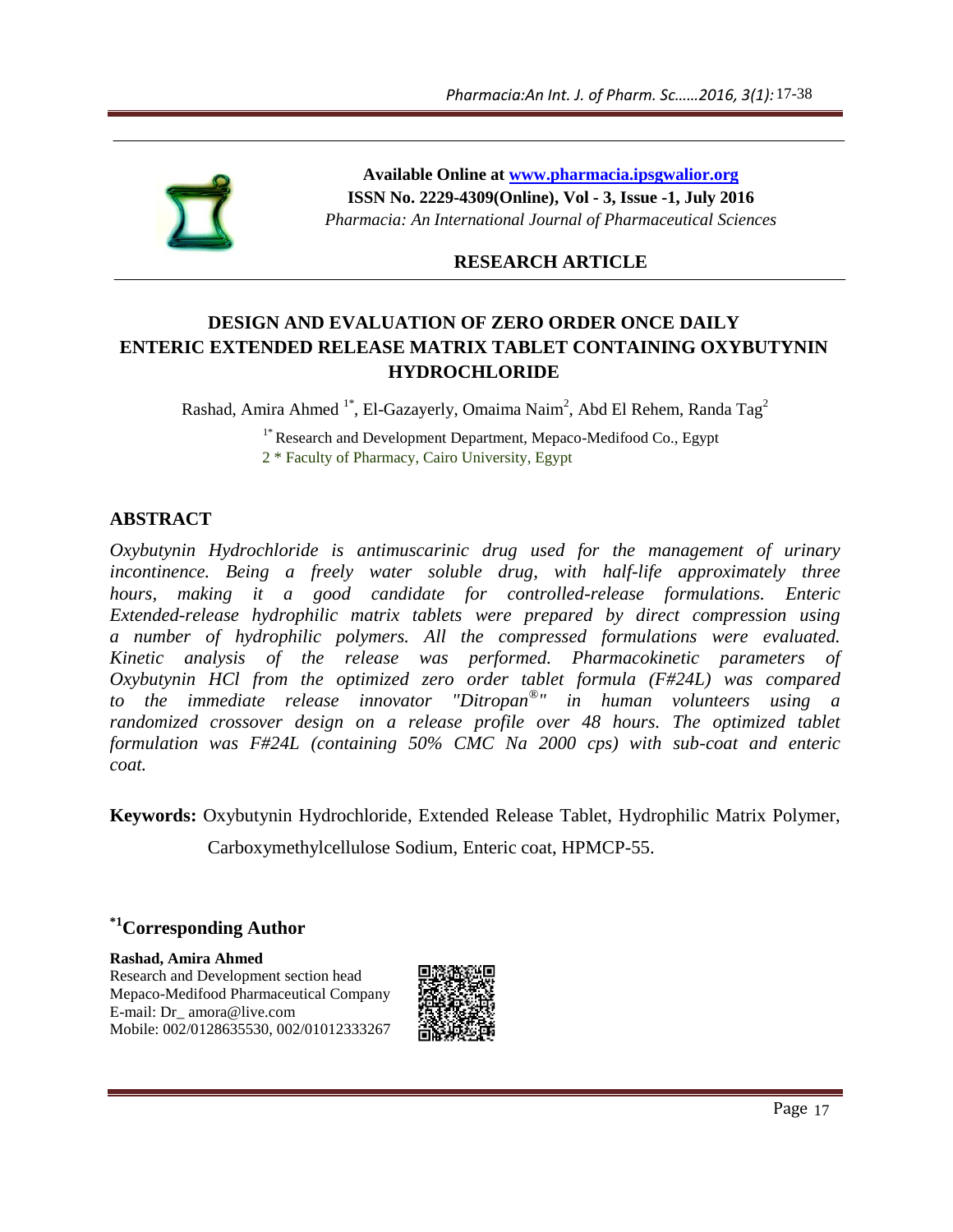

**Available Online at www.pharmacia.ipsgwalior.org ISSN No. 2229-4309(Online), Vol - 3, Issue -1, July 2016** *Pharmacia: An International Journal of Pharmaceutical Sciences*

# **RESEARCH ARTICLE**

# **DESIGN AND EVALUATION OF ZERO ORDER ONCE DAILY ENTERIC EXTENDED RELEASE MATRIX TABLET CONTAINING OXYBUTYNIN HYDROCHLORIDE**

Rashad, Amira Ahmed  $1^*$ , El-Gazayerly, Omaima Naim<sup>2</sup>, Abd El Rehem, Randa Tag<sup>2</sup>

<sup>1\*</sup> Research and Development Department, Mepaco-Medifood Co., Egypt  $2 *$  Faculty of Pharmacy, Cairo University, Egypt

# **ABSTRACT**

*Oxybutynin Hydrochloride is antimuscarinic drug used for the management of urinary incontinence. Being a freely water soluble drug, with half-life approximately three hours, making it a good candidate for controlled-release formulations. Enteric Extended-release hydrophilic matrix tablets were prepared by direct compression using a number of hydrophilic polymers. All the compressed formulations were evaluated. Kinetic analysis of the release was performed. Pharmacokinetic parameters of Oxybutynin HCl from the optimized zero order tablet formula (F#24L) was compared to the immediate release innovator "Ditropan® " in human volunteers using a randomized crossover design on a release profile over 48 hours. The optimized tablet formulation was F#24L (containing 50% CMC Na 2000 cps) with sub-coat and enteric coat. Pharmacia:An int. 1 of Pharmacia:*<br> **Available Online at <u>www.pharmacia.ingwwiller.org</u><br>
ISSN No. 2229-4399(Online), Vol. -3, Issue -1, July 2016<br>
Pharmacia: An International Journal of Pharmaceutical Sciences<br>
RESEARCH** 

**Keywords:** Oxybutynin Hydrochloride, Extended Release Tablet, Hydrophilic Matrix Polymer, Carboxymethylcellulose Sodium, Enteric coat, HPMCP-55.

# **\*1Corresponding Author**

**Rashad, Amira Ahmed** Research and Development section head Mepaco-Medifood Pharmaceutical Company E-mail: Dr\_ amora@live.com Mobile: 002/0128635530, 002/01012333267

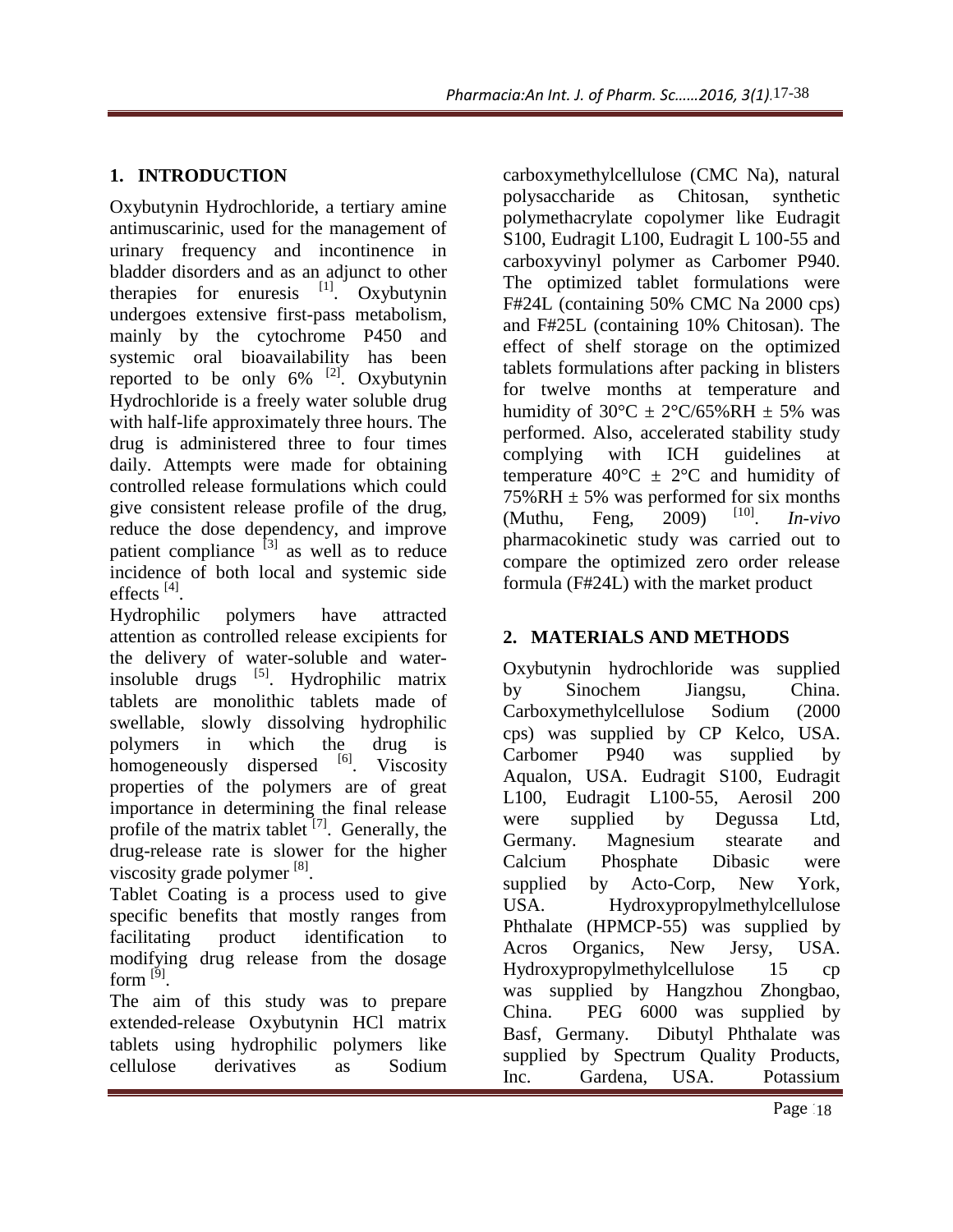# **1. INTRODUCTION**

Oxybutynin Hydrochloride, a tertiary amine antimuscarinic, used for the management of urinary frequency and incontinence in bladder disorders and as an adjunct to other therapies for enuresis  $\begin{bmatrix} 1 \end{bmatrix}$ . Oxybutynin undergoes extensive first-pass metabolism, mainly by the cytochrome P450 and systemic oral bioavailability has been reported to be only  $6\%$  <sup>[2]</sup>. Oxybutynin Hydrochloride is a freely water soluble drug with half-life approximately three hours. The drug is administered three to four times daily. Attempts were made for obtaining controlled release formulations which could give consistent release profile of the drug, reduce the dose dependency, and improve patient compliance  $^{[3]}$  as well as to reduce incidence of both local and systemic side effects<sup>[4]</sup>.

Hydrophilic polymers have attracted attention as controlled release excipients for the delivery of water-soluble and waterinsoluble drugs <sup>[5]</sup>. Hydrophilic matrix tablets are monolithic tablets made of swellable, slowly dissolving hydrophilic polymers in which the drug is homogeneously dispersed  $^{[6]}$ . Viscosity properties of the polymers are of great importance in determining the final release profile of the matrix tablet  $[7]$ . Generally, the drug-release rate is slower for the higher viscosity grade polymer  $^{[8]}$ .

Tablet Coating is a process used to give specific benefits that mostly ranges from facilitating product identification to modifying drug release from the dosage form  $^{[9]}$ .

The aim of this study was to prepare extended-release Oxybutynin HCl matrix tablets using hydrophilic polymers like cellulose derivatives as Sodium carboxymethylcellulose (CMC Na), natural polysaccharide as Chitosan, synthetic polymethacrylate copolymer like Eudragit S100, Eudragit L100, Eudragit L 100-55 and carboxyvinyl polymer as Carbomer P940. The optimized tablet formulations were F#24L (containing 50% CMC Na 2000 cps) and F#25L (containing 10% Chitosan). The effect of shelf storage on the optimized tablets formulations after packing in blisters for twelve months at temperature and humidity of  $30^{\circ}$ C  $\pm$  2°C/65%RH  $\pm$  5% was performed. Also, accelerated stability study complying with ICH guidelines at temperature  $40^{\circ}$ C  $\pm$  2°C and humidity of 75%RH  $\pm$  5% was performed for six months<br>(Muthu Feng 2009)  $^{[10]}$  In-vivo  $(Muthu, Feng, 2009)$ . *In-vivo* pharmacokinetic study was carried out to compare the optimized zero order release formula (F#24L) with the market product 17-38<br>
17-38<br>
17-38<br>
17-38<br>
17-38<br>
17-38<br>
17-38<br>
17-38<br>
17-38<br>
17-38<br>
17-38<br>
17-38<br>
17-38<br>
17-38<br>
17-87<br>
17-94<br>
17-94<br>
17-94<br>
17-94<br>
18-94<br>
18-94<br>
18-94<br>
18-94<br>
18-94<br>
18-94<br>
18-94<br>
18-94<br>
18-94<br>
18-94<br>
18-94<br>
18-94<br>
18-94

# **2. MATERIALS AND METHODS**

Oxybutynin hydrochloride was supplied by Sinochem Jiangsu, China. Carboxymethylcellulose Sodium (2000 cps) was supplied by CP Kelco, USA. Carbomer P940 was supplied by Aqualon, USA. Eudragit S100, Eudragit L100, Eudragit L100-55, Aerosil 200 were supplied by Degussa Ltd, Germany. Magnesium stearate and Calcium Phosphate Dibasic were supplied by Acto-Corp, New York, USA. Hydroxypropylmethylcellulose Phthalate (HPMCP-55) was supplied by Acros Organics, New Jersy, USA. Hydroxypropylmethylcellulose 15 cp was supplied by Hangzhou Zhongbao, China. PEG 6000 was supplied by Basf, Germany. Dibutyl Phthalate was supplied by Spectrum Quality Products, Inc. Gardena, USA. Potassium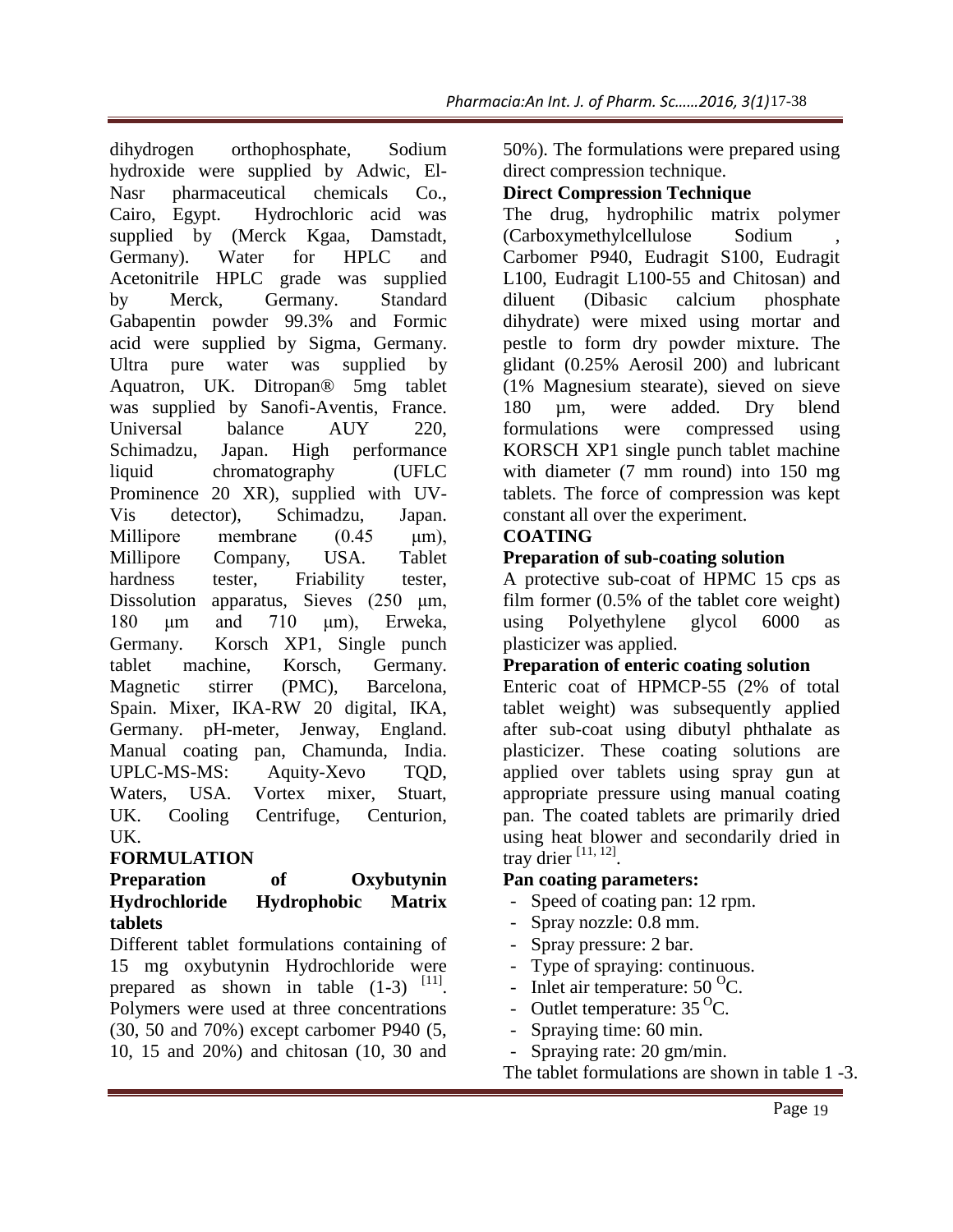dihydrogen orthophosphate, Sodium hydroxide were supplied by Adwic, El-Nasr pharmaceutical chemicals Co., Cairo, Egypt. Hydrochloric acid was supplied by (Merck Kgaa, Damstadt, Germany). Water for HPLC and Acetonitrile HPLC grade was supplied by Merck, Germany. Standard Gabapentin powder 99.3% and Formic acid were supplied by Sigma, Germany. Ultra pure water was supplied by Aquatron, UK. Ditropan® 5mg tablet was supplied by Sanofi-Aventis, France. Universal balance AUY 220, Schimadzu, Japan. High performance liquid chromatography (UFLC Prominence 20 XR), supplied with UV-Vis detector), Schimadzu, Japan. Millipore membrane (0.45 μm), Millipore Company, USA. Tablet hardness tester, Friability tester, Dissolution apparatus, Sieves (250 μm, 180 μm and 710 μm), Erweka, Germany. Korsch XP1, Single punch tablet machine, Korsch, Germany. Magnetic stirrer (PMC), Barcelona, Spain. Mixer, IKA-RW 20 digital, IKA, Germany. pH-meter, Jenway, England. Manual coating pan, Chamunda, India. UPLC-MS-MS: Aquity-Xevo TQD, Waters, USA. Vortex mixer, Stuart, UK. Cooling Centrifuge, Centurion, UK.

# **FORMULATION**

# **Preparation of Oxybutynin Hydrochloride Hydrophobic Matrix tablets**

Different tablet formulations containing of 15 mg oxybutynin Hydrochloride were prepared as shown in table  $(1-3)$   $[11]$ . Polymers were used at three concentrations (30, 50 and 70%) except carbomer P940 (5, 10, 15 and 20%) and chitosan (10, 30 and

50%). The formulations were prepared using direct compression technique.

# **Direct Compression Technique**

The drug, hydrophilic matrix polymer (Carboxymethylcellulose Sodium , Carbomer P940, Eudragit S100, Eudragit L100, Eudragit L100-55 and Chitosan) and diluent (Dibasic calcium phosphate dihydrate) were mixed using mortar and pestle to form dry powder mixture. The glidant (0.25% Aerosil 200) and lubricant (1% Magnesium stearate), sieved on sieve 180 µm, were added. Dry blend formulations were compressed using KORSCH XP1 single punch tablet machine with diameter (7 mm round) into 150 mg tablets. The force of compression was kept constant all over the experiment. 17-38<br>
red usin<br>
polyme<br>
med usin<br>
polyme<br>
Eudrag<br>
san) an<br>
ontar an<br>
ontar an<br>
ontar an<br>
lubrica<br>
150 m<br>
was kel<br> **polyne**<br> **on**<br>
5 cps a<br>
e weigh<br>
000 a<br> **ution**<br>
of tot<br>
applie<br>
ions<br>
mediate an<br>
lubrica<br>
lubrica<br>
ions<br>

# **COATING**

# **Preparation of sub-coating solution**

A protective sub-coat of HPMC 15 cps as film former (0.5% of the tablet core weight) using Polyethylene glycol 6000 as plasticizer was applied.

#### **Preparation of enteric coating solution**

Enteric coat of HPMCP-55 (2% of total tablet weight) was subsequently applied after sub-coat using dibutyl phthalate as plasticizer. These coating solutions are applied over tablets using spray gun at appropriate pressure using manual coating pan. The coated tablets are primarily dried using heat blower and secondarily dried in tray drier  $^{[11, 12]}$ .

#### **Pan coating parameters:**

- Speed of coating pan: 12 rpm.
- Spray nozzle: 0.8 mm.
- Spray pressure: 2 bar.
- Type of spraying: continuous.
- Inlet air temperature:  $50^{\circ}$ C.
- Outlet temperature:  $35^{\circ}$ C.
- Spraying time: 60 min.

- Spraying rate: 20 gm/min.

The tablet formulations are shown in table 1 -3.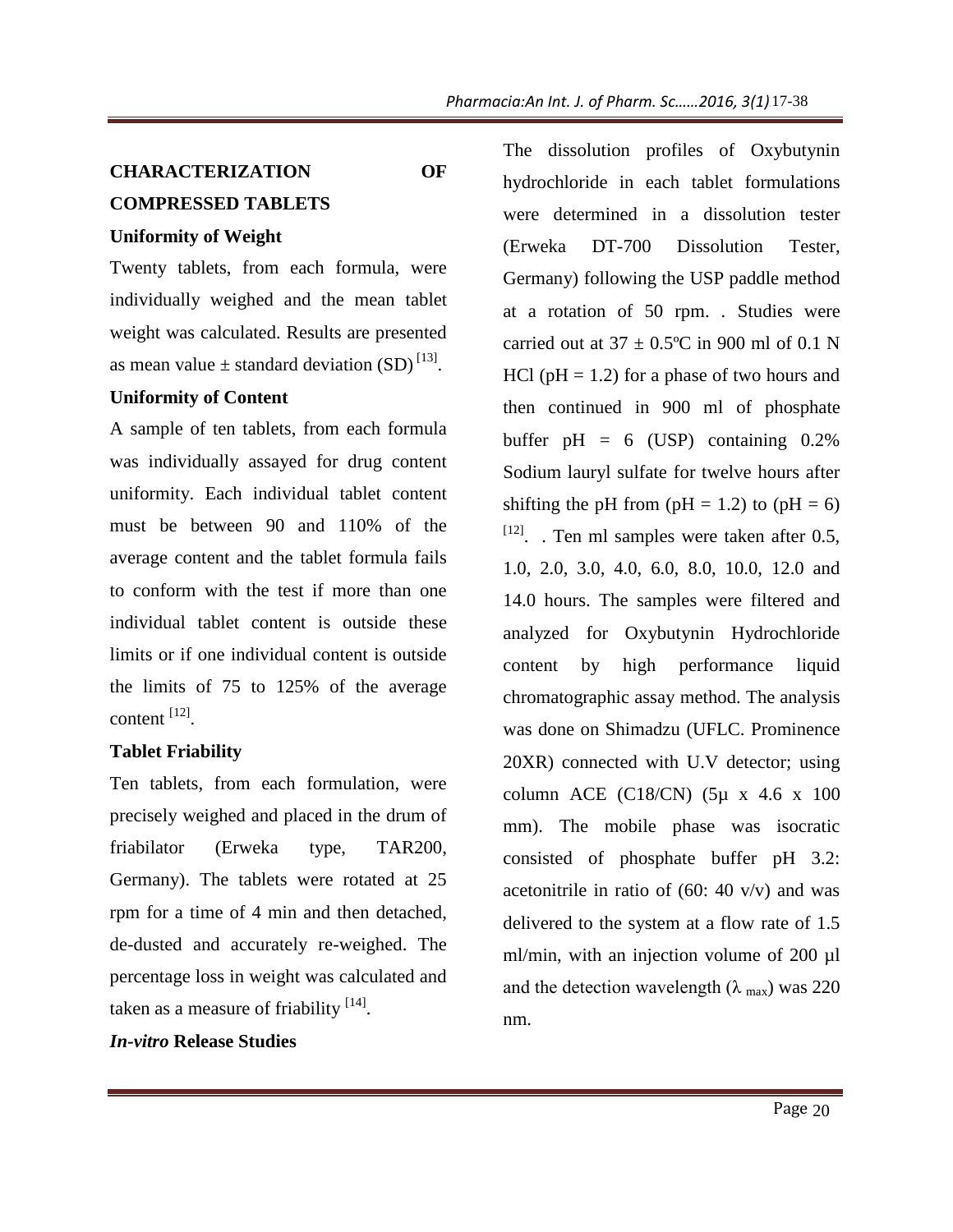# **CHARACTERIZATION OF COMPRESSED TABLETS**

#### **Uniformity of Weight**

Twenty tablets, from each formula, were individually weighed and the mean tablet weight was calculated. Results are presented as mean value  $\pm$  standard deviation (SD)<sup>[13]</sup>.

### **Uniformity of Content**

A sample of ten tablets, from each formula was individually assayed for drug content uniformity. Each individual tablet content must be between 90 and 110% of the average content and the tablet formula fails to conform with the test if more than one individual tablet content is outside these limits or if one individual content is outside the limits of 75 to 125% of the average  $\text{content}^{[12]}$ .

#### **Tablet Friability**

Ten tablets, from each formulation, were precisely weighed and placed in the drum of friabilator (Erweka type, TAR200, Germany). The tablets were rotated at 25 rpm for a time of 4 min and then detached, de-dusted and accurately re-weighed. The percentage loss in weight was calculated and taken as a measure of friability  $[14]$ .

#### *In-vitro* **Release Studies**

The dissolution profiles of Oxybutynin hydrochloride in each tablet formulations were determined in a dissolution tester (Erweka DT-700 Dissolution Tester, Germany) following the USP paddle method at a rotation of 50 rpm. *.* Studies were carried out at  $37 \pm 0.5^{\circ}$ C in 900 ml of 0.1 N HCl ( $pH = 1.2$ ) for a phase of two hours and then continued in 900 ml of phosphate buffer  $pH = 6$  (USP) containing 0.2% Sodium lauryl sulfate for twelve hours after shifting the pH from (pH = 1.2) to (pH = 6)  $^{[12]}$ . Ten ml samples were taken after 0.5, 1.0, 2.0, 3.0, 4.0, 6.0, 8.0, 10.0, 12.0 and 14.0 hours. The samples were filtered and analyzed for Oxybutynin Hydrochloride content by high performance liquid chromatographic assay method. The analysis was done on Shimadzu (UFLC. Prominence 20XR) connected with U.V detector; using column ACE (C18/CN) (5µ x 4.6 x 100 mm). The mobile phase was isocratic consisted of phosphate buffer pH 3.2: acetonitrile in ratio of  $(60: 40 \text{ v/v})$  and was delivered to the system at a flow rate of 1.5 ml/min, with an injection volume of 200  $\mu$ l and the detection wavelength ( $\lambda$ <sub>max</sub>) was 220 nm. 17-38<br>
ybutyni<br>
mulation<br>
mulation<br>
teste<br>
Teste<br>
e metho<br>
ies wer<br>
of 0.1 l<br>
nours an<br>
hosphat<br>
ng 0.2%<br>
ours afte<br>
(pH = 6<br>
after 0.4<br>
12.0 an<br>
ered an<br>
ochlorid<br>
iqui<br>
malysi<br>
minenc<br>
or; usin<br>
6 x 10<br>
isocrati<br>
pH 3.2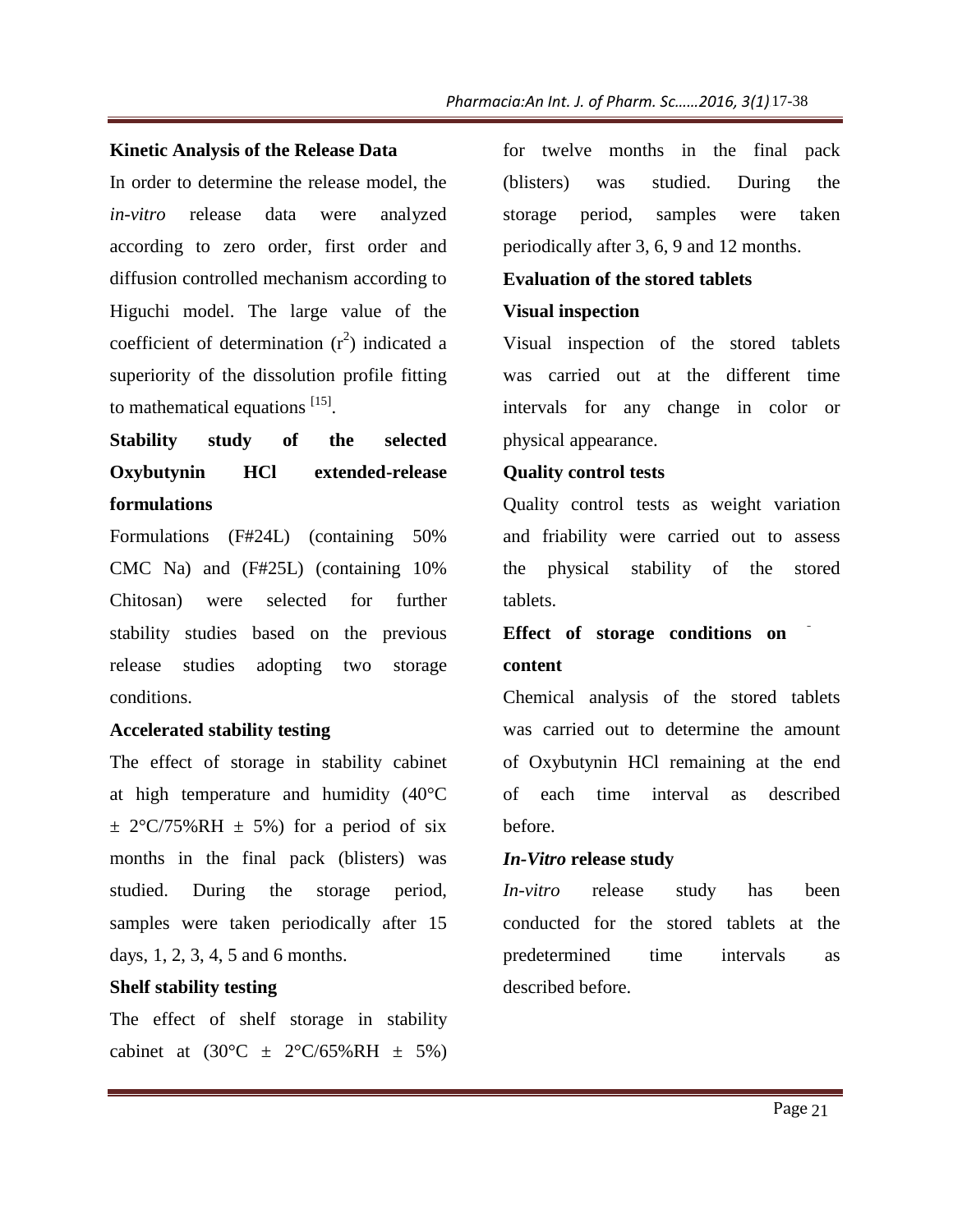#### **Kinetic Analysis of the Release Data**

In order to determine the release model, the *in-vitro* release data were analyzed according to zero order, first order and diffusion controlled mechanism according to Higuchi model. The large value of the coefficient of determination  $(r^2)$  indicated a superiority of the dissolution profile fitting to mathematical equations  $^{[15]}$ .

# **Stability study of the selected Oxybutynin HCl extended-release formulations**

Formulations (F#24L) (containing 50% CMC Na) and (F#25L) (containing 10% Chitosan) were selected for further stability studies based on the previous release studies adopting two storage conditions.

#### **Accelerated stability testing**

The effect of storage in stability cabinet at high temperature and humidity (40°C  $\pm$  2°C/75%RH  $\pm$  5%) for a period of six months in the final pack (blisters) was studied. During the storage period, samples were taken periodically after 15 days, 1, 2, 3, 4, 5 and 6 months.

### **Shelf stability testing**

The effect of shelf storage in stability cabinet at  $(30^{\circ}\text{C} \pm 2^{\circ}\text{C}/65\% \text{RH} \pm 5\%)$  for twelve months in the final pack (blisters) was studied. During the storage period, samples were taken periodically after 3, 6, 9 and 12 months.

#### **Evaluation of the stored tablets**

#### **Visual inspection**

Visual inspection of the stored tablets was carried out at the different time intervals for any change in color or physical appearance.

#### **Quality control tests**

Quality control tests as weight variation and friability were carried out to assess the physical stability of the stored tablets.

# **Effect** of storage conditions on

### **content**

Chemical analysis of the stored tablets was carried out to determine the amount of Oxybutynin HCl remaining at the end of each time interval as described before. 17-38<br>
aal pac<br>
ng the take<br>
ths.<br>
de take<br>
ths.<br>
de take<br>
the time<br>
color of variatic<br>
of assessing the time<br>
the emoun<br>
the emoun<br>
the emoun<br>
the emoun<br>
the emoun<br>
describe<br>
bee<br>
at the same<br>
page 21<br>
Page 21

#### *In-Vitro* **release study**

*In-vitro* release study has been conducted for the stored tablets at the predetermined time intervals as described before.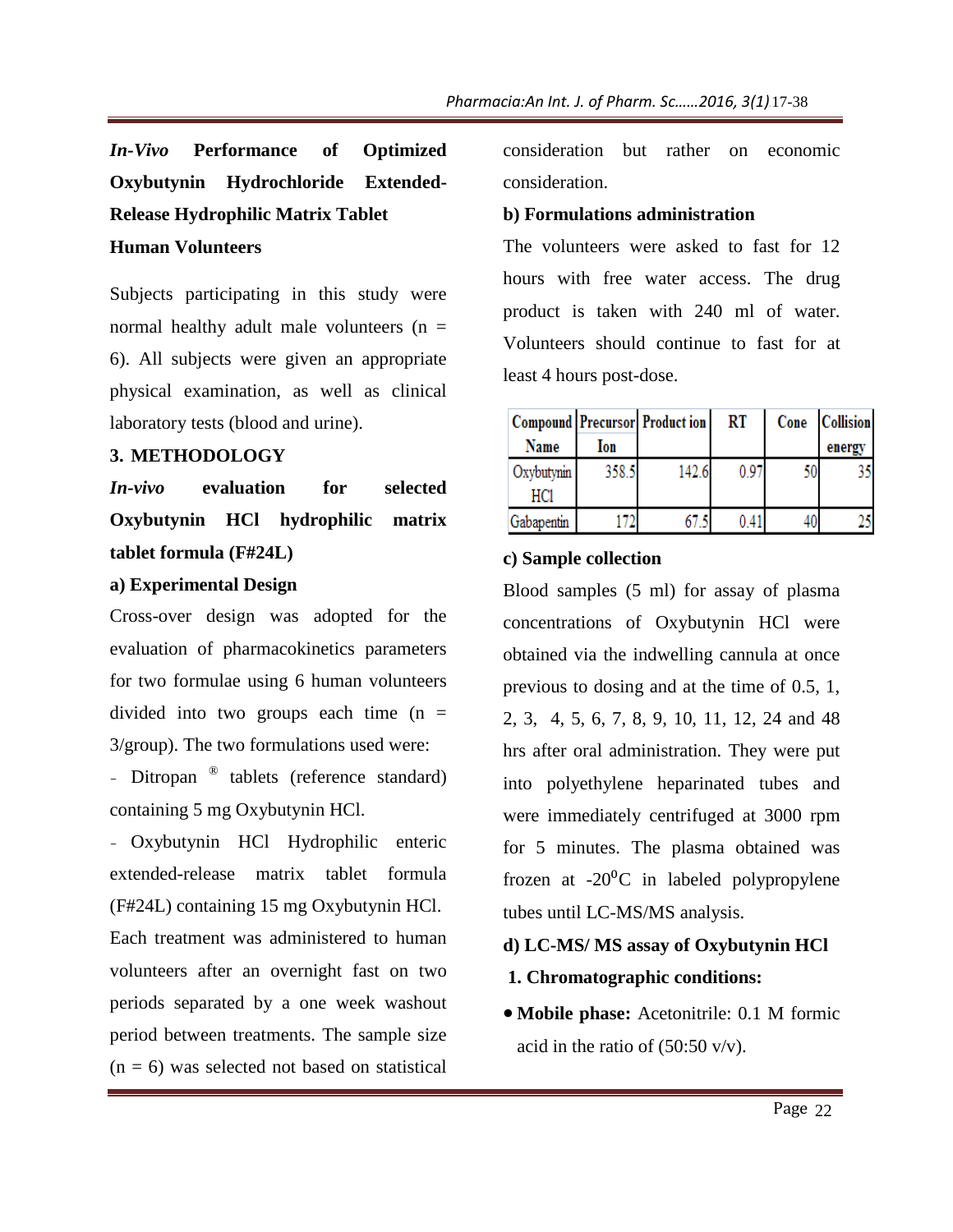*In-Vivo* **Performance of Optimized Oxybutynin Hydrochloride Extended-Release Hydrophilic Matrix Tablet Human Volunteers**

Subjects participating in this study were normal healthy adult male volunteers  $(n =$ 6). All subjects were given an appropriate physical examination, as well as clinical laboratory tests (blood and urine).

#### **3. METHODOLOGY**

*In-vivo* **evaluation for selected Oxybutynin HCl hydrophilic matrix tablet formula (F#24L)**

#### **a) Experimental Design**

Cross-over design was adopted for the evaluation of pharmacokinetics parameters for two formulae using 6 human volunteers divided into two groups each time  $(n =$ 3/group). The two formulations used were:

- Ditropan <sup>®</sup> tablets (reference standard) containing 5 mg Oxybutynin HCl.

- Oxybutynin HCl Hydrophilic enteric extended-release matrix tablet formula (F#24L) containing 15 mg Oxybutynin HCl. Each treatment was administered to human volunteers after an overnight fast on two periods separated by a one week washout period between treatments. The sample size  $(n = 6)$  was selected not based on statistical

consideration but rather on economic consideration.

### **b) Formulations administration**

The volunteers were asked to fast for 12 hours with free water access. The drug product is taken with 240 ml of water. Volunteers should continue to fast for at least 4 hours post-dose.

|                   |       | <b>Compound Precursor Production</b> | RT   | Cone | <b>Collision</b> |
|-------------------|-------|--------------------------------------|------|------|------------------|
| Name              | Ion   |                                      |      |      | energy           |
| Oxybutynin<br>HC1 | 358.5 | 142.6                                | 0.97 |      |                  |
| Gabapentin        |       |                                      |      | 40.  |                  |

### **c) Sample collection**

Blood samples (5 ml) for assay of plasma concentrations of Oxybutynin HCl were obtained via the indwelling cannula at once previous to dosing and at the time of 0.5, 1, 2, 3, 4, 5, 6, 7, 8, 9, 10, 11, 12, 24 and 48 hrs after oral administration. They were put into polyethylene heparinated tubes and were immediately centrifuged at 3000 rpm for 5 minutes. The plasma obtained was frozen at  $-20^{\circ}$ C in labeled polypropylene tubes until LC-MS/MS analysis. 22 17-38

# **d) LC-MS/ MS assay of Oxybutynin HCl**

- **1. Chromatographic conditions:**
- **Mobile phase:** Acetonitrile: 0.1 M formic acid in the ratio of  $(50:50 \text{ v/v})$ .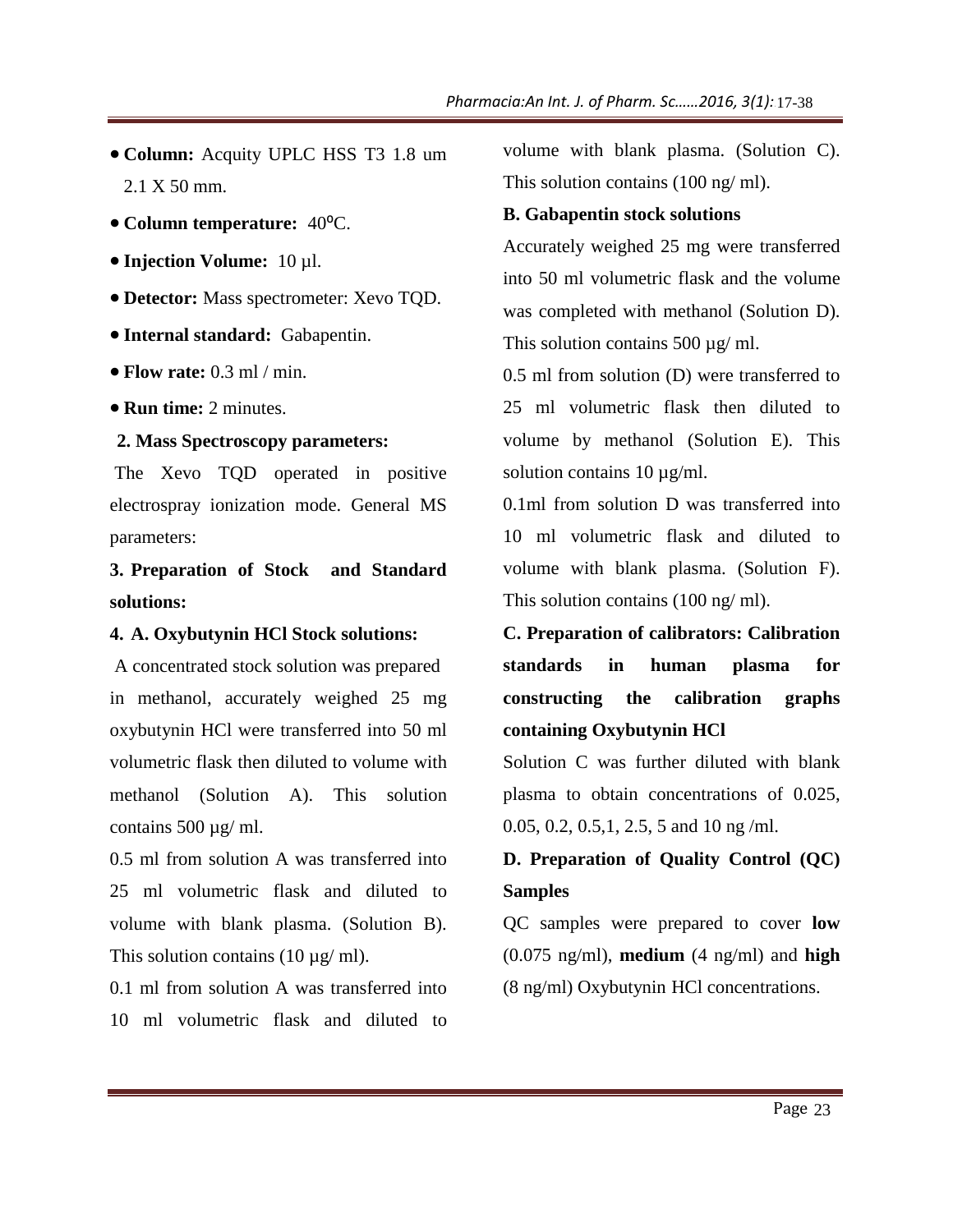- **Column:** Acquity UPLC HSS T3 1.8 um 2.1 X 50 mm.
- **Column temperature:** 40⁰C.
- **Injection Volume:** 10 µl.
- **Detector:** Mass spectrometer: Xevo TQD.
- **Internal standard:** Gabapentin.
- **Flow rate:** 0.3 ml / min.
- **Run time:** 2 minutes.

#### **2. Mass Spectroscopy parameters:**

The Xevo TQD operated in positive electrospray ionization mode. General MS parameters:

**3. Preparation of Stock and Standard solutions:**

#### **4. A. Oxybutynin HCl Stock solutions:**

A concentrated stock solution was prepared in methanol, accurately weighed 25 mg oxybutynin HCl were transferred into 50 ml volumetric flask then diluted to volume with methanol (Solution A). This solution contains 500 µg/ ml.

0.5 ml from solution A was transferred into 25 ml volumetric flask and diluted to volume with blank plasma. (Solution B). This solution contains  $(10 \mu g/ml)$ .

0.1 ml from solution A was transferred into 10 ml volumetric flask and diluted to

volume with blank plasma. (Solution C). This solution contains (100 ng/ ml).

#### **B. Gabapentin stock solutions**

Accurately weighed 25 mg were transferred into 50 ml volumetric flask and the volume was completed with methanol (Solution D). This solution contains 500  $\mu$ g/ ml.

0.5 ml from solution (D) were transferred to 25 ml volumetric flask then diluted to volume by methanol (Solution E). This solution contains 10  $\mu$ g/ml.

0.1ml from solution D was transferred into 10 ml volumetric flask and diluted to volume with blank plasma. (Solution F). This solution contains (100 ng/ ml). 17-38<br>
tion C<br>
unsferre<br>
unsferred t<br>
uted t<br>
illuted t<br>
2). Thi<br>
rred int<br>
uted t<br>
illuted t<br>
in F<br>
ibratio<br>
in G<br>
graph<br>
th blan<br>
f 0.025<br>
ol (QC<br>
ver loy<br>
und hig<br>
tions.

**C. Preparation of calibrators: Calibration standards in human plasma for constructing the calibration graphs containing Oxybutynin HCl**

Solution C was further diluted with blank plasma to obtain concentrations of 0.025, 0.05, 0.2, 0.5,1, 2.5, 5 and 10 ng /ml.

# **D. Preparation of Quality Control (QC) Samples**

QC samples were prepared to cover **low** (0.075 ng/ml), **medium** (4 ng/ml) and **high** (8 ng/ml) Oxybutynin HCl concentrations.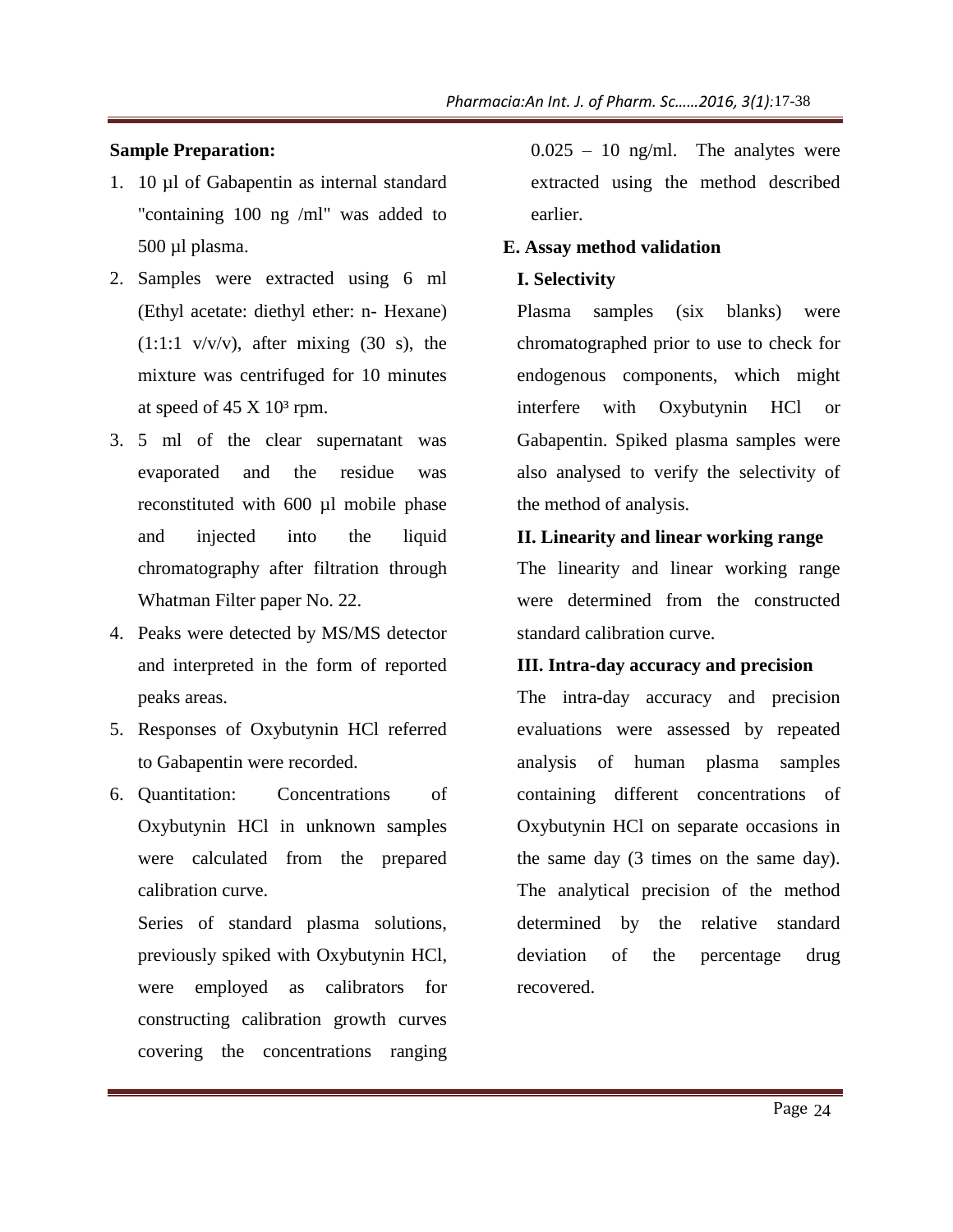#### **Sample Preparation:**

- 1. 10 µl of Gabapentin as internal standard "containing 100 ng /ml" was added to 500 µl plasma.
- 2. Samples were extracted using 6 ml (Ethyl acetate: diethyl ether: n- Hexane)  $(1:1:1 \text{ v/v/v})$ , after mixing  $(30 \text{ s})$ , the mixture was centrifuged for 10 minutes at speed of  $45 \text{ X } 10^3 \text{ rpm}$ .
- 3. 5 ml of the clear supernatant was evaporated and the residue was reconstituted with 600 µl mobile phase and injected into the liquid chromatography after filtration through Whatman Filter paper No. 22.
- 4. Peaks were detected by MS/MS detector and interpreted in the form of reported peaks areas.
- 5. Responses of Oxybutynin HCl referred to Gabapentin were recorded.
- 6. Quantitation: Concentrations of Oxybutynin HCl in unknown samples were calculated from the prepared calibration curve.

Series of standard plasma solutions, previously spiked with Oxybutynin HCl, were employed as calibrators for constructing calibration growth curves covering the concentrations ranging  $0.025 - 10$  ng/ml. The analytes were extracted using the method described earlier.

### **E. Assay method validation**

#### **I. Selectivity**

Plasma samples (six blanks) were chromatographed prior to use to check for endogenous components, which might interfere with Oxybutynin HCl or Gabapentin. Spiked plasma samples were also analysed to verify the selectivity of the method of analysis.

#### **II. Linearity and linear working range**

The linearity and linear working range were determined from the constructed standard calibration curve.

#### **III. Intra-day accuracy and precision**

The intra-day accuracy and precision evaluations were assessed by repeated analysis of human plasma samples containing different concentrations of Oxybutynin HCl on separate occasions in the same day (3 times on the same day). The analytical precision of the method determined by the relative standard deviation of the percentage drug recovered. 17-38<br>
tes wer<br>
describe<br>
describe<br>
describe<br>
describe<br>
des wer<br>
tivity c<br> **range**<br>
range<br>
nage<br>
nage<br>
nage<br>
range<br>
sample<br>
ion<br>
oprecisio<br>
repeate<br>
sample<br>
ions c<br>
asions i<br>
me day<br>
metho<br>
standar<br>
dru<br>
dru<br>
precise<br>
prec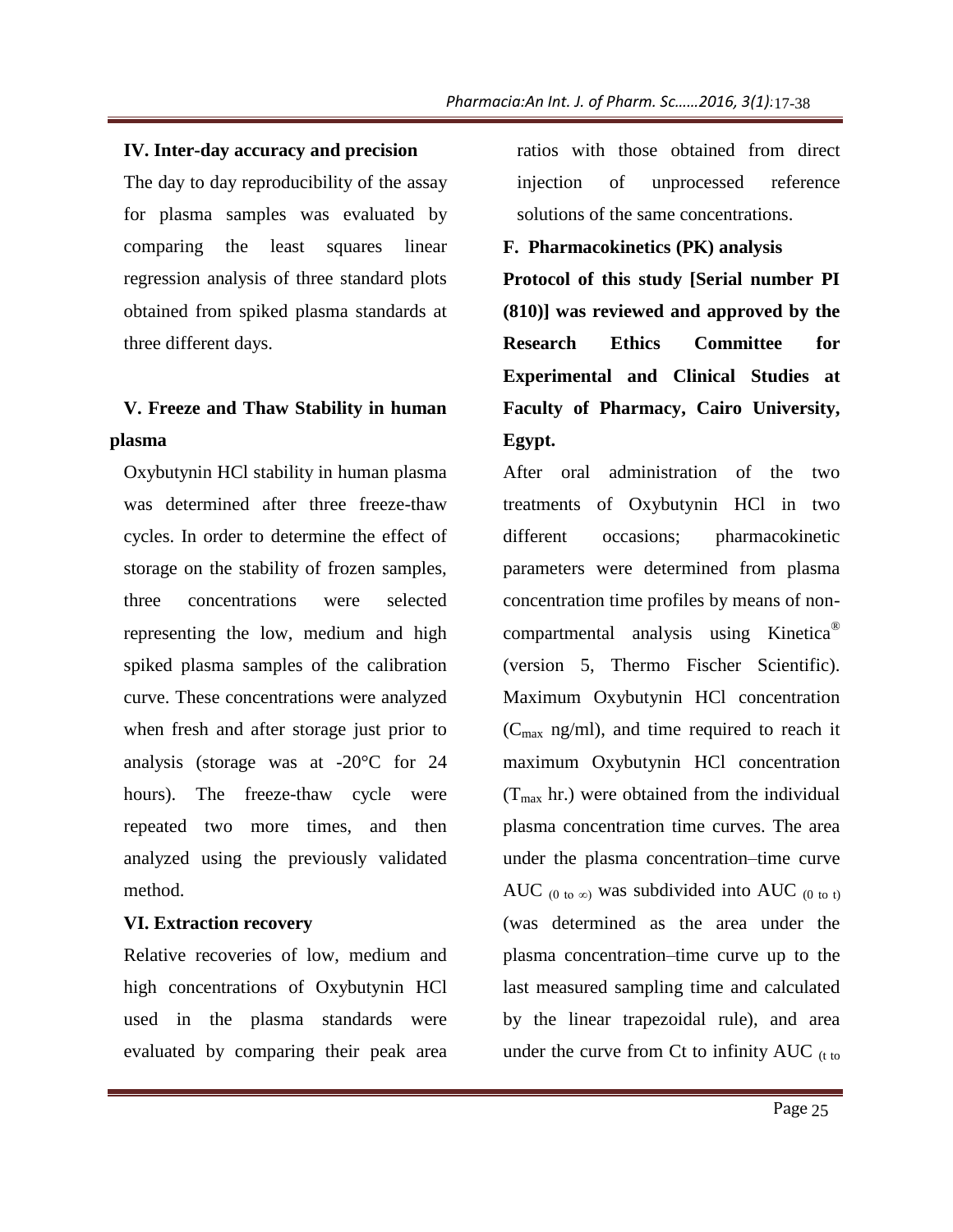#### **IV. Inter-day accuracy and precision**

The day to day reproducibility of the assay for plasma samples was evaluated by comparing the least squares linear regression analysis of three standard plots obtained from spiked plasma standards at three different days.

# **V. Freeze and Thaw Stability in human plasma**

Oxybutynin HCl stability in human plasma was determined after three freeze-thaw cycles. In order to determine the effect of storage on the stability of frozen samples, three concentrations were selected representing the low, medium and high spiked plasma samples of the calibration curve. These concentrations were analyzed when fresh and after storage just prior to analysis (storage was at -20°C for 24 hours). The freeze-thaw cycle were repeated two more times, and then analyzed using the previously validated method.

#### **VI. Extraction recovery**

Relative recoveries of low, medium and high concentrations of Oxybutynin HCl used in the plasma standards were evaluated by comparing their peak area ratios with those obtained from direct injection of unprocessed reference solutions of the same concentrations.

#### **F. Pharmacokinetics (PK) analysis**

**Protocol of this study [Serial number PI (810)] was reviewed and approved by the Research Ethics Committee for Experimental and Clinical Studies at Faculty of Pharmacy, Cairo University, Egypt.**

After oral administration of the two treatments of Oxybutynin HCl in two different occasions; pharmacokinetic parameters were determined from plasma concentration time profiles by means of noncompartmental analysis using Kinetica® (version 5, Thermo Fischer Scientific). Maximum Oxybutynin HCl concentration  $(C_{\text{max}} \text{ ng/ml})$ , and time required to reach it maximum Oxybutynin HCl concentration  $(T<sub>max</sub> hr.)$  were obtained from the individual plasma concentration time curves. The area under the plasma concentration–time curve AUC  $_{(0 \text{ to } \infty)}$  was subdivided into AUC  $_{(0 \text{ to } t)}$ (was determined as the area under the plasma concentration–time curve up to the last measured sampling time and calculated by the linear trapezoidal rule), and area under the curve from Ct to infinity  $AUC_{(t to)}$ 25 17-38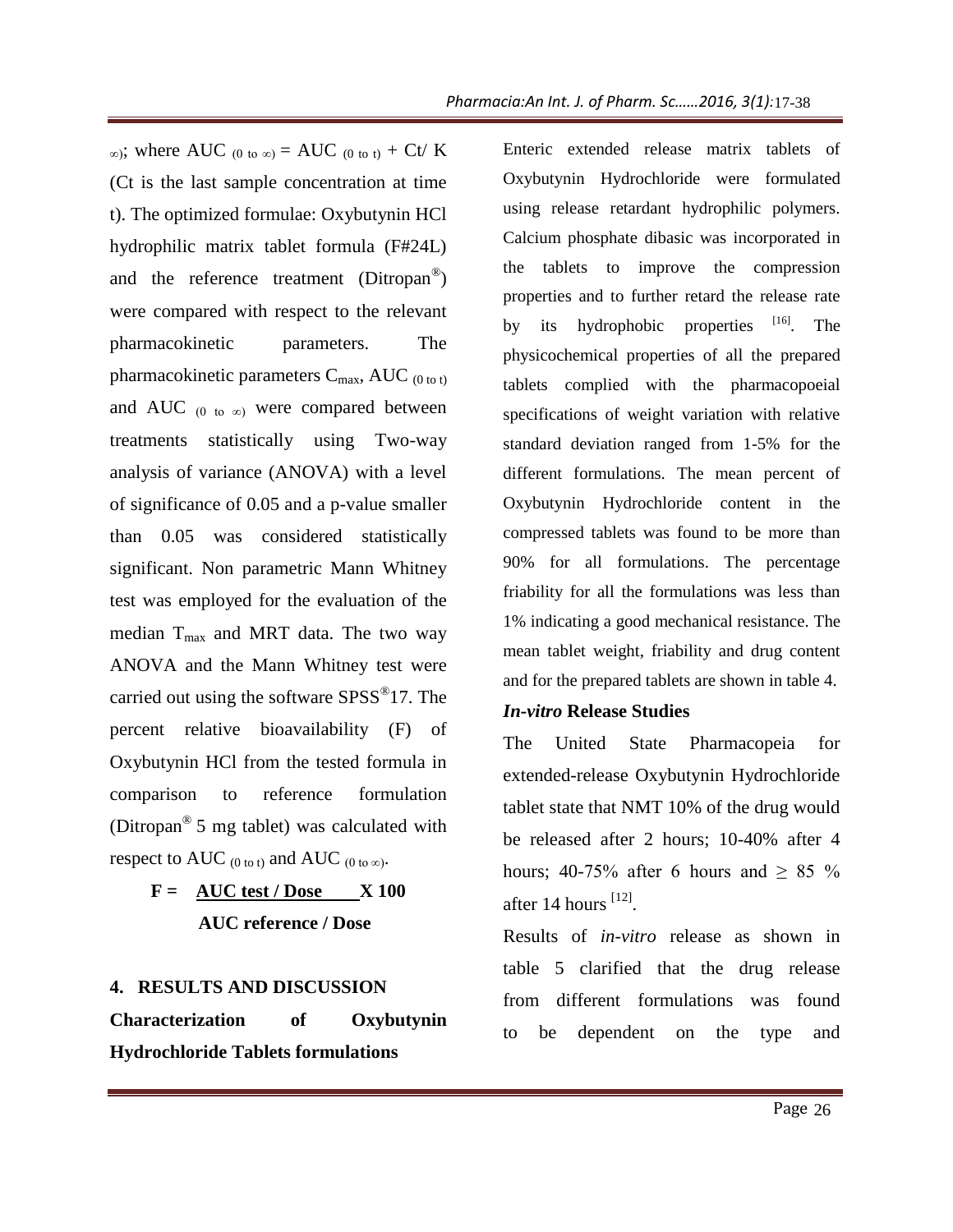∞); where AUC  $_{(0 \text{ to } \infty)}$  = AUC  $_{(0 \text{ to } t)}$  + Ct/ K (Ct is the last sample concentration at time t). The optimized formulae: Oxybutynin HCl hydrophilic matrix tablet formula (F#24L) and the reference treatment (Ditropan<sup>®</sup>) were compared with respect to the relevant pharmacokinetic parameters. The pharmacokinetic parameters  $C_{\text{max}}$ , AUC (0 to t) and AUC  $(0 \text{ to } \infty)$  were compared between treatments statistically using Two-way analysis of variance (ANOVA) with a level of significance of 0.05 and a p-value smaller than 0.05 was considered statistically significant. Non parametric Mann Whitney test was employed for the evaluation of the median T<sub>max</sub> and MRT data. The two way ANOVA and the Mann Whitney test were carried out using the software SPSS<sup>®</sup>17. The percent relative bioavailability (F) of Oxybutynin HCl from the tested formula in comparison to reference formulation (Ditropan® 5 mg tablet) was calculated with respect to AUC  $_{(0 \text{ to } t)}$  and AUC  $_{(0 \text{ to } \infty)}$ .

> $F = \text{AUC test} / \text{Dose} \qquad \text{X} 100$  **AUC reference / Dose**

#### **4. RESULTS AND DISCUSSION**

**Characterization of Oxybutynin Hydrochloride Tablets formulations**

Enteric extended release matrix tablets of Oxybutynin Hydrochloride were formulated using release retardant hydrophilic polymers. Calcium phosphate dibasic was incorporated in the tablets to improve the compression properties and to further retard the release rate by its hydrophobic properties <sup>[16]</sup>. The physicochemical properties of all the prepared tablets complied with the pharmacopoeial specifications of weight variation with relative standard deviation ranged from 1-5% for the different formulations. The mean percent of Oxybutynin Hydrochloride content in the compressed tablets was found to be more than 90% for all formulations. The percentage friability for all the formulations was less than 1% indicating a good mechanical resistance. The mean tablet weight, friability and drug content and for the prepared tablets are shown in table 4. 17-38<br>
ablets comulate<br>
polymer:<br>
bornulate<br>
polymer:<br>
bornulate<br>
polymer:<br>
octated in prepare<br>
acopoeia<br>
he relative<br>
in the relative for the ercent component in the ercent<br>
gless tha ance. The gonter<br>
n table 4<br>
eia fc<br>

#### *In-vitro* **Release Studies**

The United State Pharmacopeia for extended-release Oxybutynin Hydrochloride tablet state that NMT 10% of the drug would be released after 2 hours; 10-40% after 4 hours; 40-75% after 6 hours and  $\geq 85$  % after 14 hours  $^{[12]}$ .

Results of *in-vitro* release as shown in table 5 clarified that the drug release from different formulations was found to be dependent on the type and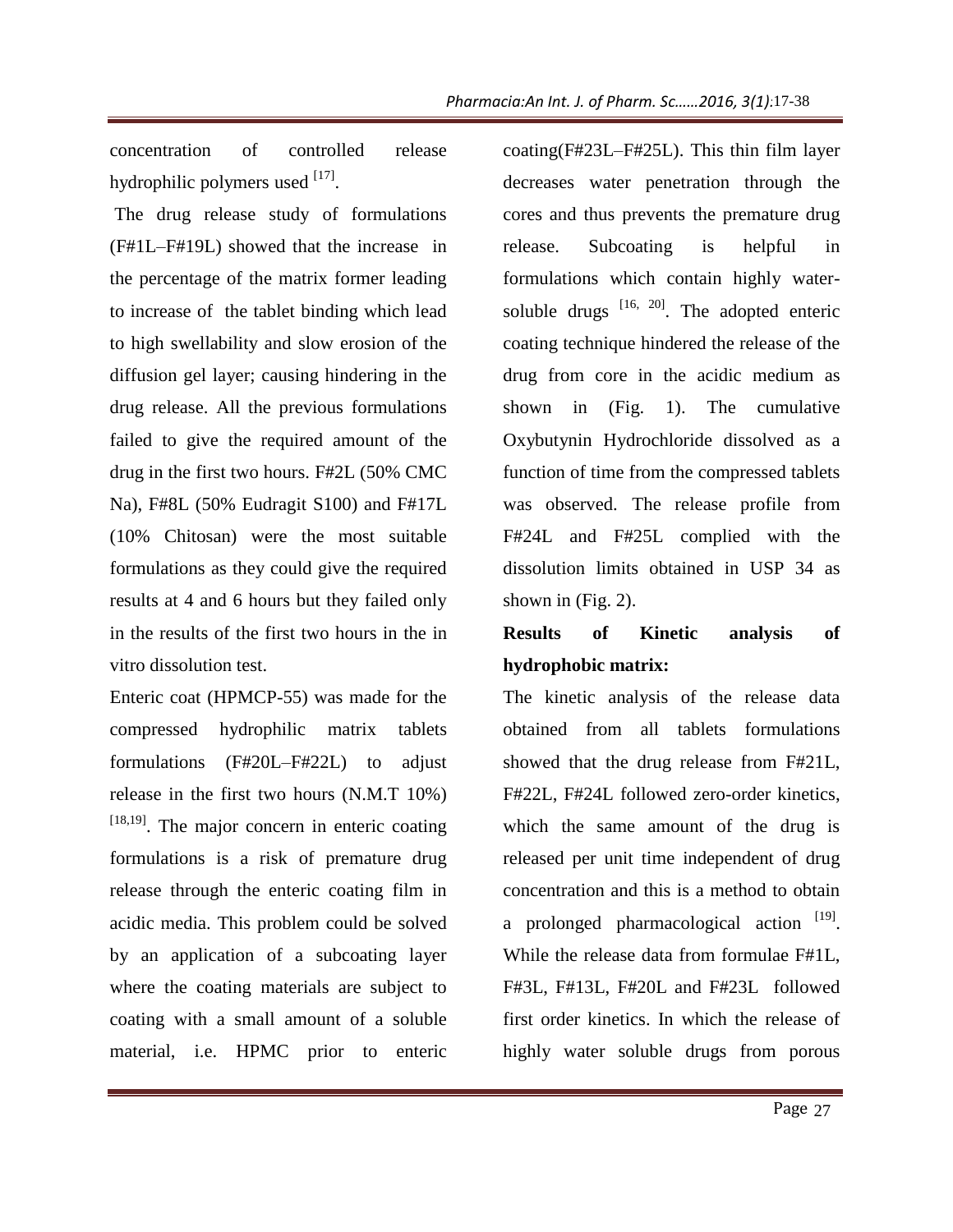concentration of controlled release hydrophilic polymers used [17].

The drug release study of formulations (F#1L–F#19L) showed that the increase in the percentage of the matrix former leading to increase of the tablet binding which lead to high swellability and slow erosion of the diffusion gel layer; causing hindering in the drug release. All the previous formulations failed to give the required amount of the drug in the first two hours. F#2L (50% CMC Na), F#8L (50% Eudragit S100) and F#17L (10% Chitosan) were the most suitable formulations as they could give the required results at 4 and 6 hours but they failed only in the results of the first two hours in the in vitro dissolution test.

Enteric coat (HPMCP-55) was made for the compressed hydrophilic matrix tablets formulations (F#20L–F#22L) to adjust release in the first two hours (N.M.T 10%)  $[18,19]$ . The major concern in enteric coating formulations is a risk of premature drug release through the enteric coating film in acidic media. This problem could be solved by an application of a subcoating layer where the coating materials are subject to coating with a small amount of a soluble material, i.e. HPMC prior to enteric

coating(F#23L–F#25L). This thin film layer decreases water penetration through the cores and thus prevents the premature drug release. Subcoating is helpful in formulations which contain highly watersoluble drugs  $[16, 20]$ . The adopted enteric coating technique hindered the release of the drug from core in the acidic medium as shown in (Fig. 1). The cumulative Oxybutynin Hydrochloride dissolved as a function of time from the compressed tablets was observed. The release profile from F#24L and F#25L complied with the dissolution limits obtained in USP 34 as shown in (Fig. 2). 17-38<br>
ilm laye<br>
ugh th<br>
ure dru<br>
y water<br>
denteri<br>
y water<br>
denteri<br>
seed the dium a<br>
mulative das<br>
ed tablet<br>
ile fror<br>
with th<br>
P 34 a<br>
sis d<br>
des datable<br>
ile fror<br>
with th<br>
P 34 a<br>
sis d<br>
as datable<br>
ile fror<br>
to obt

# **Results of Kinetic analysis of hydrophobic matrix:**

The kinetic analysis of the release data obtained from all tablets formulations showed that the drug release from F#21L, F#22L, F#24L followed zero-order kinetics, which the same amount of the drug is released per unit time independent of drug concentration and this is a method to obtain a prolonged pharmacological action  $[19]$ . While the release data from formulae F#1L, F#3L, F#13L, F#20L and F#23L followed first order kinetics. In which the release of highly water soluble drugs from porous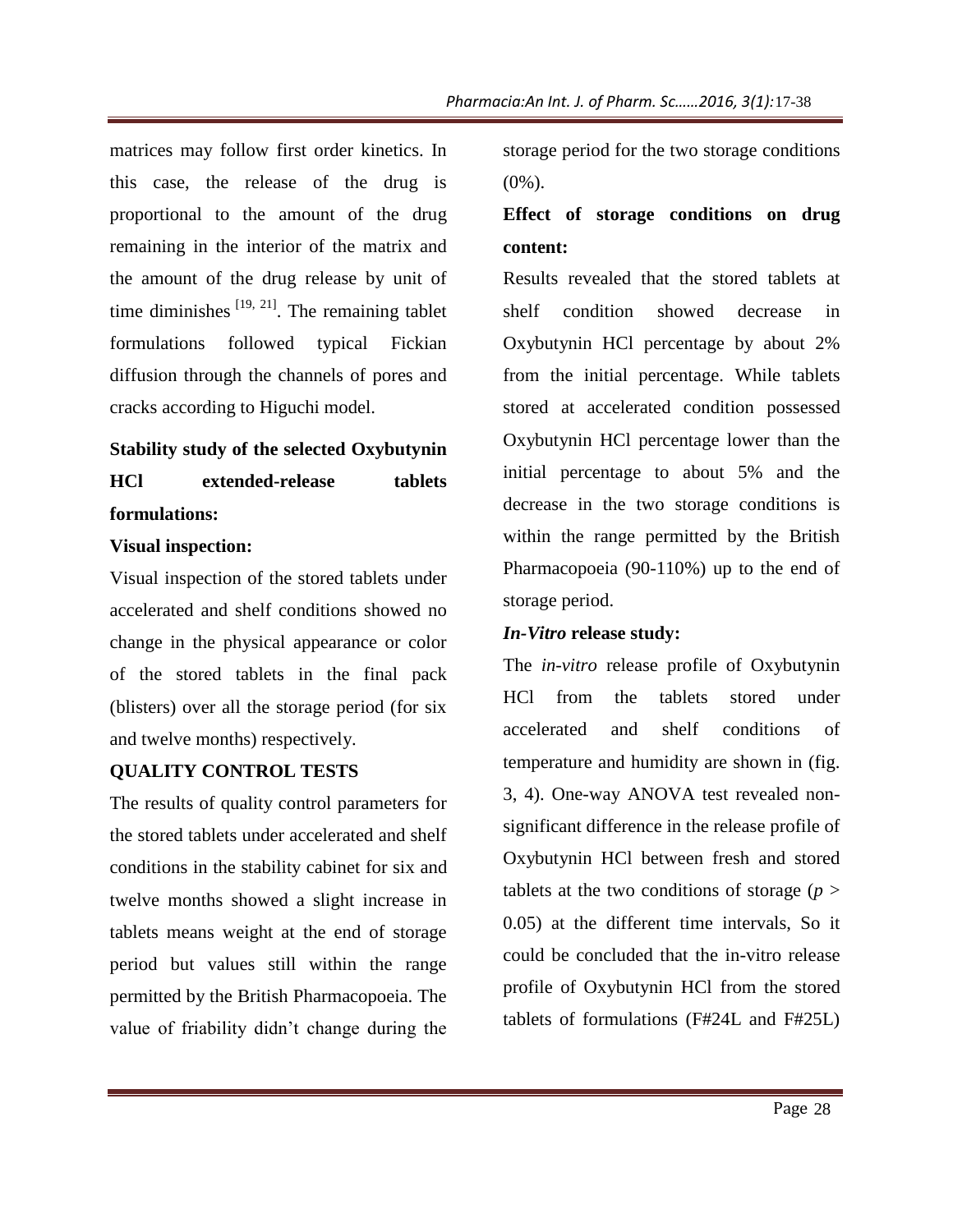matrices may follow first order kinetics. In this case, the release of the drug is proportional to the amount of the drug remaining in the interior of the matrix and the amount of the drug release by unit of time diminishes  $[19, 21]$ . The remaining tablet formulations followed typical Fickian diffusion through the channels of pores and cracks according to Higuchi model.

# **Stability study of the selected Oxybutynin HCl extended-release tablets formulations:**

#### **Visual inspection:**

Visual inspection of the stored tablets under accelerated and shelf conditions showed no change in the physical appearance or color of the stored tablets in the final pack (blisters) over all the storage period (for six and twelve months) respectively.

# **QUALITY CONTROL TESTS**

The results of quality control parameters for the stored tablets under accelerated and shelf conditions in the stability cabinet for six and twelve months showed a slight increase in tablets means weight at the end of storage period but values still within the range permitted by the British Pharmacopoeia. The value of friability didn't change during the storage period for the two storage conditions  $(0\%)$ .

# **Effect of storage conditions on drug content:**

Results revealed that the stored tablets at shelf condition showed decrease in Oxybutynin HCl percentage by about 2% from the initial percentage. While tablets stored at accelerated condition possessed Oxybutynin HCl percentage lower than the initial percentage to about 5% and the decrease in the two storage conditions is within the range permitted by the British Pharmacopoeia (90-110%) up to the end of storage period.

# *In-Vitro* **release study:**

The *in-vitro* release profile of Oxybutynin HCl from the tablets stored under accelerated and shelf conditions of temperature and humidity are shown in (fig. 3, 4). One-way ANOVA test revealed nonsignificant difference in the release profile of Oxybutynin HCl between fresh and stored tablets at the two conditions of storage (*p* > 0.05) at the different time intervals, So it could be concluded that the in-vitro release profile of Oxybutynin HCl from the stored tablets of formulations (F#24L and F#25L) 17-38<br>
andition<br> **n** dru<br>
ablets a<br>
case i<br>
pout 29<br>
e tablet<br>
ossesse<br>
than th<br>
and th<br>
itions i<br>
Pitis<br>
e end c<br>
ybutyni<br>
unde<br>
ons c<br>
n in (fig<br>
led non<br>
profile c<br>
d store<br>
age (p i<br>
ls, So<br>
preleas<br>
ne store<br>
F#25L<br>
P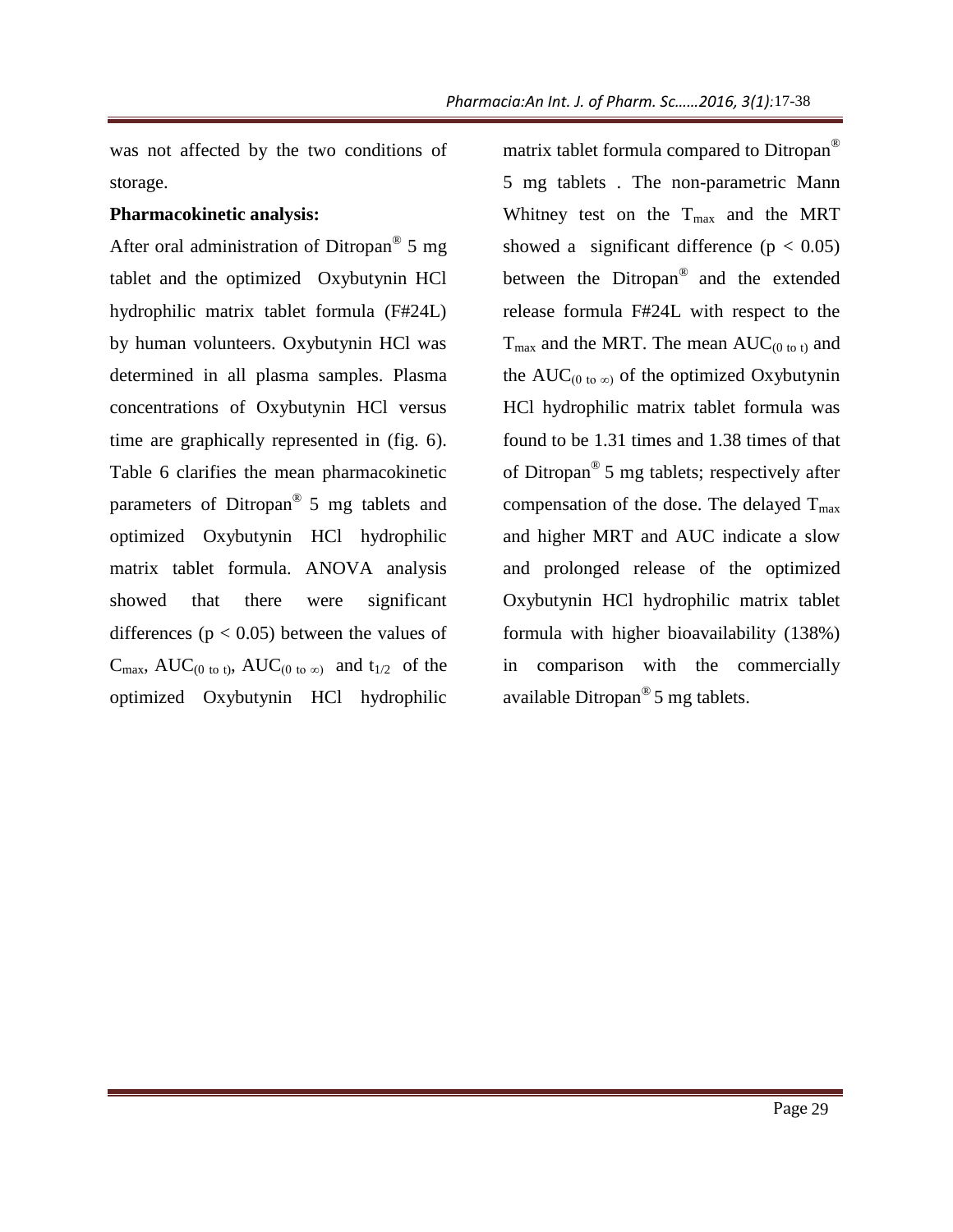was not affected by the two conditions of storage.

#### **Pharmacokinetic analysis:**

After oral administration of Ditropan<sup>®</sup> 5 mg tablet and the optimized Oxybutynin HCl hydrophilic matrix tablet formula (F#24L) by human volunteers. Oxybutynin HCl was determined in all plasma samples. Plasma concentrations of Oxybutynin HCl versus time are graphically represented in (fig. 6). Table 6 clarifies the mean pharmacokinetic parameters of Ditropan® 5 mg tablets and optimized Oxybutynin HCl hydrophilic matrix tablet formula. ANOVA analysis showed that there were significant differences ( $p < 0.05$ ) between the values of  $C_{\text{max}}$ , AUC<sub>(0 to t)</sub>, AUC<sub>(0 to  $\infty$ ) and t<sub>1/2</sub> of the</sub> optimized Oxybutynin HCl hydrophilic

matrix tablet formula compared to Ditropan® 5 mg tablets . The non-parametric Mann Whitney test on the Tmax and the MRT showed a significant difference  $(p < 0.05)$ between the Ditropan® and the extended release formula F#24L with respect to the  $T_{\text{max}}$  and the MRT. The mean  $AUC_{(0 \text{ to } t)}$  and the AUC( $_0$  to  $\infty$ ) of the optimized Oxybutynin HCl hydrophilic matrix tablet formula was found to be 1.31 times and 1.38 times of that of Ditropan® 5 mg tablets; respectively after compensation of the dose. The delayed  $T_{\text{max}}$ and higher MRT and AUC indicate a slow and prolonged release of the optimized Oxybutynin HCl hydrophilic matrix tablet formula with higher bioavailability (138%) in comparison with the commercially available Ditropan® 5 mg tablets. 17-38<br>
Ditropan<br>
ic Man<br>
ic Man<br>
ic Man<br>  $\geq 0.05$ <br>
extende<br>
ct to the why after yed T<sub>m</sub><br>
e a slow<br>
ptimize<br>
ix table<br>
(138%<br>
nerciall<br>
<u>parciall</u><br>
(138%<br>
nerciall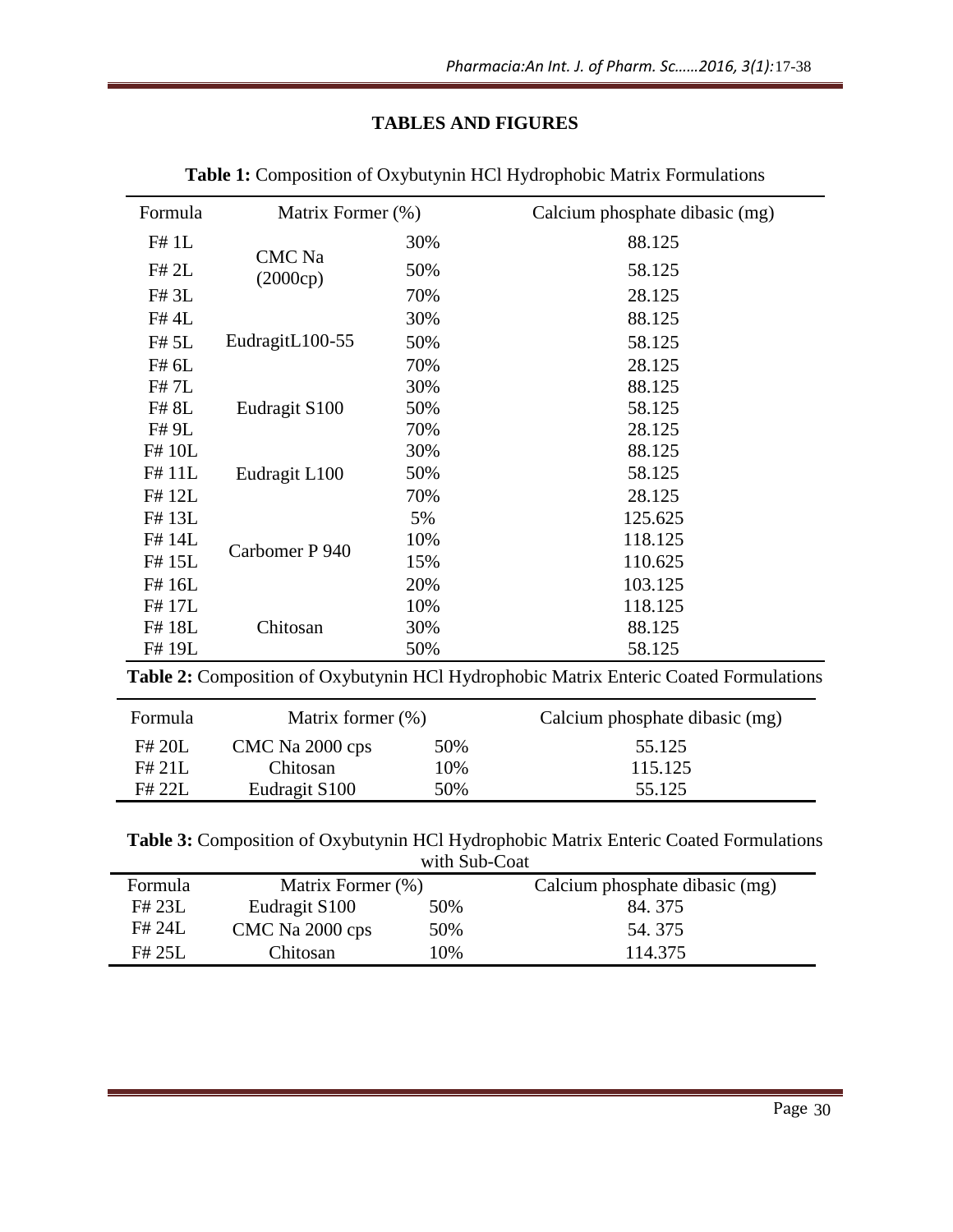# **TABLES AND FIGURES**

|                  |                   |                           | Pharmacia:An Int. J. of Pharm. Sc2016, 3(1):17-38                                     |
|------------------|-------------------|---------------------------|---------------------------------------------------------------------------------------|
|                  |                   | <b>TABLES AND FIGURES</b> |                                                                                       |
|                  |                   |                           | Table 1: Composition of Oxybutynin HCl Hydrophobic Matrix Formulations                |
| Formula          | Matrix Former (%) |                           | Calcium phosphate dibasic (mg)                                                        |
| F# 1L            |                   | 30%                       | 88.125                                                                                |
| F# 2L            | CMC Na            | 50%                       | 58.125                                                                                |
| F# 3L            | (2000cp)          | 70%                       | 28.125                                                                                |
| F# 4L            |                   | 30%                       | 88.125                                                                                |
| F# 5L            | EudragitL100-55   | 50%                       | 58.125                                                                                |
| F# 6L            |                   | 70%                       | 28.125                                                                                |
| F# 7L            |                   | 30%                       | 88.125                                                                                |
| F# 8L            | Eudragit S100     | 50%                       | 58.125                                                                                |
| F# 9L            |                   | 70%                       | 28.125                                                                                |
| F# 10L           |                   | 30%                       | 88.125                                                                                |
| F#11L            | Eudragit L100     | 50%                       | 58.125                                                                                |
| F#12L            |                   | 70%                       | 28.125                                                                                |
| F#13L            |                   | 5%                        | 125.625                                                                               |
| F# 14L<br>F# 15L | Carbomer P 940    | 10%<br>15%                | 118.125<br>110.625                                                                    |
| F# 16L           |                   | 20%                       | 103.125                                                                               |
| F#17L            |                   | 10%                       | 118.125                                                                               |
| F#18L            | Chitosan          | 30%                       | 88.125                                                                                |
| F# 19L           |                   | 50%                       | 58.125                                                                                |
|                  |                   |                           | Table 2: Composition of Oxybutynin HCl Hydrophobic Matrix Enteric Coated Formulations |
| Formula          | Matrix former (%) |                           | Calcium phosphate dibasic (mg)                                                        |
| F# 20L           | CMC Na 2000 cps   | 50%                       | 55.125                                                                                |
| F# 21L           | Chitosan          | 10%                       | 115.125                                                                               |
| F# 22L           | Eudragit S100     | 50%                       | 55.125                                                                                |
|                  |                   | with Sub-Coat             | Table 3: Composition of Oxybutynin HCl Hydrophobic Matrix Enteric Coated Formulations |
| Formula          | Matrix Former (%) |                           | Calcium phosphate dibasic (mg)                                                        |
| F# 23L           | Eudragit S100     | 50%                       | 84.375                                                                                |
| F# 24L           | CMC Na 2000 cps   | 50%                       | 54.375                                                                                |
| F# 25L           | Chitosan          | 10%                       | 114.375                                                                               |
|                  |                   |                           | Page 30                                                                               |
|                  |                   |                           |                                                                                       |

| Formula | Matrix former $(\%)$      |     | Calcium phosphate dibasic (mg) |
|---------|---------------------------|-----|--------------------------------|
| F# 20L  | CMC Na 2000 cps           | 50% | 55.125                         |
| F# 21L  | Chitosan                  | 10% | 115.125                        |
| F# 22I  | Eudragit S <sub>100</sub> | 50% | 55.125                         |

| Formula | Matrix Former (%)         |     | Calcium phosphate dibasic (mg) |  |  |  |  |  |
|---------|---------------------------|-----|--------------------------------|--|--|--|--|--|
| F# 23L  | Eudragit S <sub>100</sub> | 50% | 84.375                         |  |  |  |  |  |
| F# 24L  | CMC Na 2000 cps           | 50% | 54.375                         |  |  |  |  |  |
| F# 25L  | Chitosan                  | 10% | 114.375                        |  |  |  |  |  |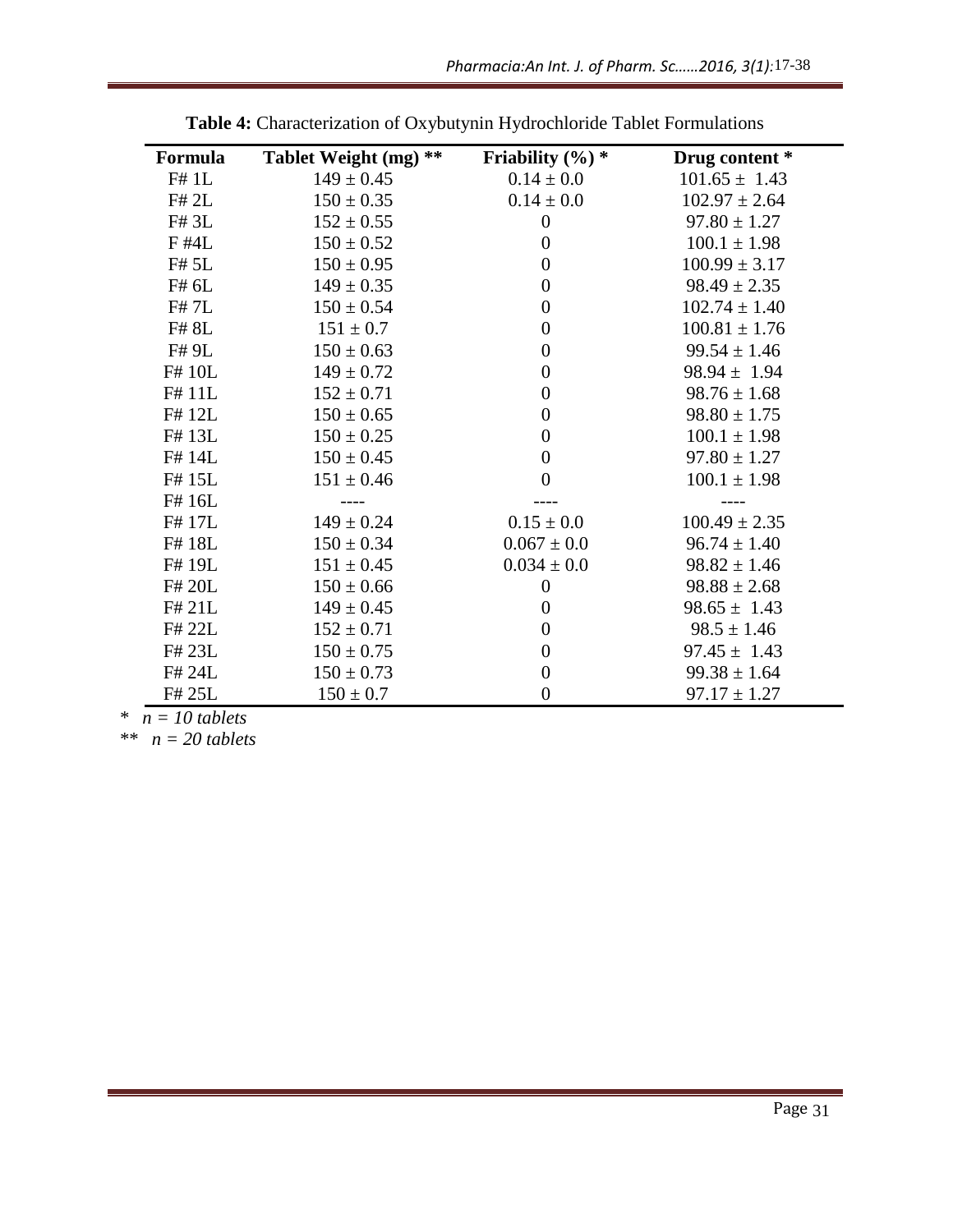|                  |                                                                           |                     | Pharmacia:An Int. J. of Pharm. Sc2016, 3(1):17-38 |
|------------------|---------------------------------------------------------------------------|---------------------|---------------------------------------------------|
|                  | Table 4: Characterization of Oxybutynin Hydrochloride Tablet Formulations |                     |                                                   |
| Formula          | Tablet Weight (mg) **                                                     | Friability $(\%)$ * | Drug content *                                    |
| F# 1L            | $149 \pm 0.45$                                                            | $0.14 \pm 0.0$      | $101.65 \pm 1.43$                                 |
| F# 2L            | $150 \pm 0.35$                                                            | $0.14 \pm 0.0$      | $102.97 \pm 2.64$                                 |
| F# 3L            | $152 \pm 0.55$                                                            | $\boldsymbol{0}$    | $97.80 \pm 1.27$                                  |
| F #4L            | $150 \pm 0.52$                                                            | $\boldsymbol{0}$    | $100.1 \pm 1.98$                                  |
| F# 5L            | $150 \pm 0.95$                                                            | $\boldsymbol{0}$    | $100.99 \pm 3.17$                                 |
| F# 6L            | $149 \pm 0.35$                                                            | $\boldsymbol{0}$    | $98.49 \pm 2.35$                                  |
| F# 7L            | $150 \pm 0.54$                                                            | $\boldsymbol{0}$    | $102.74 \pm 1.40$                                 |
| F# 8L            | $151 \pm 0.7$                                                             | $\boldsymbol{0}$    | $100.81 \pm 1.76$                                 |
| F# 9L            | $150 \pm 0.63$                                                            | $\boldsymbol{0}$    | $99.54 \pm 1.46$                                  |
| F# 10L           | $149 \pm 0.72$                                                            | $\boldsymbol{0}$    | $98.94 \pm 1.94$                                  |
| F#11L            | $152 \pm 0.71$                                                            | $\boldsymbol{0}$    | $98.76 \pm 1.68$                                  |
| F#12L            | $150 \pm 0.65$                                                            | $\boldsymbol{0}$    | $98.80 \pm 1.75$                                  |
| F#13L            | $150 \pm 0.25$                                                            | $\boldsymbol{0}$    | $100.1 \pm 1.98$                                  |
| F# 14L           | $150 \pm 0.45$                                                            | $\boldsymbol{0}$    | $97.80 \pm 1.27$                                  |
| F#15L            | $151 \pm 0.46$                                                            | $\boldsymbol{0}$    | $100.1 \pm 1.98$                                  |
| F#16L            |                                                                           |                     |                                                   |
| F#17L            | $149 \pm 0.24$                                                            | $0.15 \pm 0.0$      | $100.49 \pm 2.35$                                 |
| F#18L            | $150 \pm 0.34$                                                            | $0.067 \pm 0.0$     | $96.74 \pm 1.40$                                  |
| F# 19L           | $151 \pm 0.45$                                                            | $0.034 \pm 0.0$     | $98.82 \pm 1.46$                                  |
| F# 20L           | $150 \pm 0.66$                                                            | $\boldsymbol{0}$    | $98.88 \pm 2.68$                                  |
| F# 21L           | $149 \pm 0.45$                                                            | $\boldsymbol{0}$    | $98.65 \pm 1.43$                                  |
| F# 22L           | $152 \pm 0.71$                                                            | $\overline{0}$      | $98.5 \pm 1.46$                                   |
| F# 23L           | $150 \pm 0.75$                                                            | $\boldsymbol{0}$    | $97.45 \pm 1.43$                                  |
| F# 24L           | $150 \pm 0.73$                                                            | $\boldsymbol{0}$    | $99.38 \pm 1.64$                                  |
| F# 25L           | $150 \pm 0.7$                                                             | $\overline{0}$      | $97.17 \pm 1.27$                                  |
| $n = 10$ tablets |                                                                           |                     |                                                   |
| $n = 20$ tablets |                                                                           |                     |                                                   |
|                  |                                                                           |                     |                                                   |
|                  |                                                                           |                     |                                                   |
|                  |                                                                           |                     |                                                   |
|                  |                                                                           |                     |                                                   |
|                  |                                                                           |                     |                                                   |
|                  |                                                                           |                     |                                                   |
|                  |                                                                           |                     |                                                   |
|                  |                                                                           |                     |                                                   |
|                  |                                                                           |                     |                                                   |
|                  |                                                                           |                     |                                                   |
|                  |                                                                           |                     |                                                   |
|                  |                                                                           |                     |                                                   |
|                  |                                                                           |                     |                                                   |
|                  |                                                                           |                     |                                                   |
|                  |                                                                           |                     |                                                   |
|                  |                                                                           |                     | Page 31                                           |
|                  |                                                                           |                     |                                                   |

**Table 4:** Characterization of Oxybutynin Hydrochloride Tablet Formulations

 *\* n = 10 tablets*

*\*\* n = 20 tablets*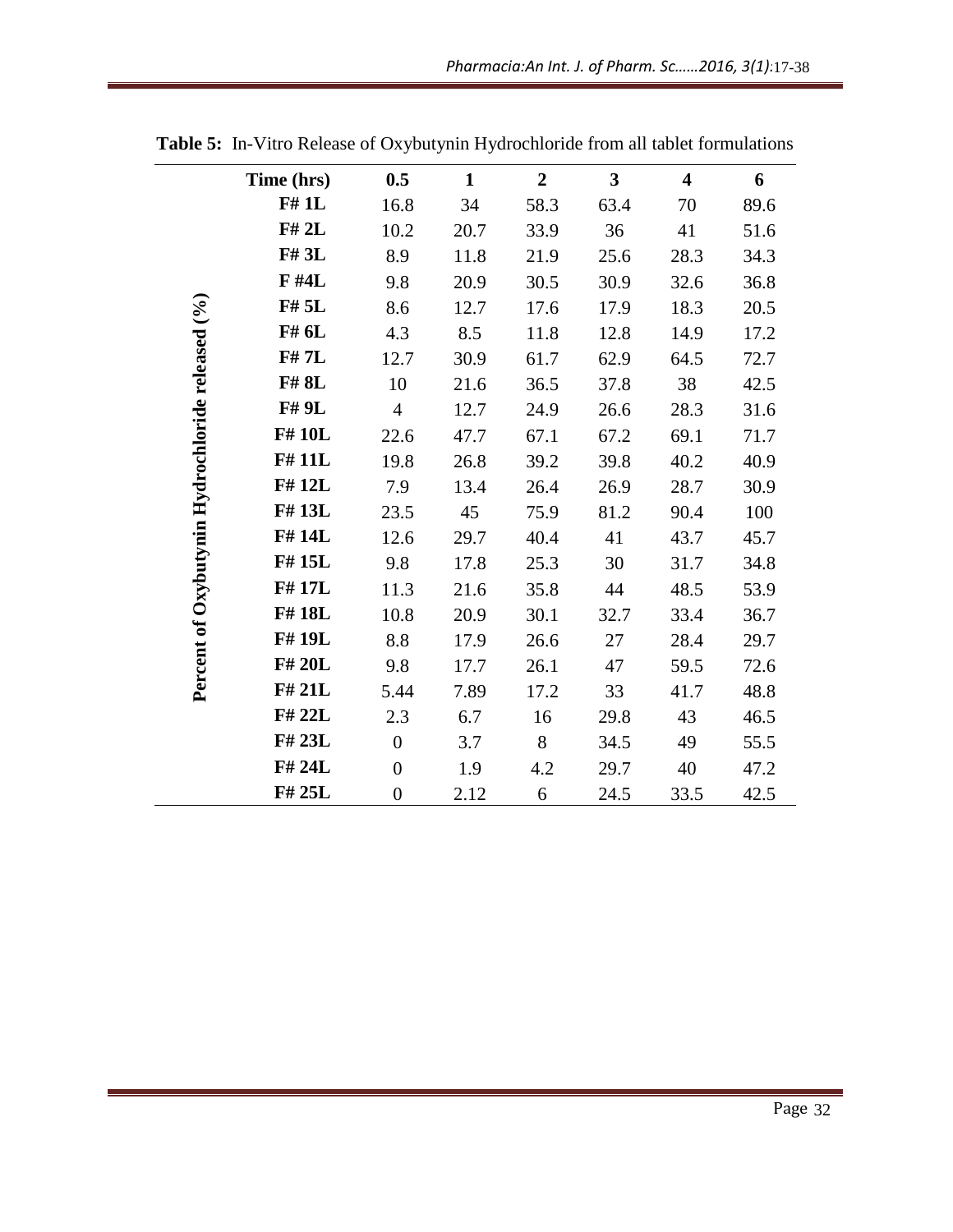| Time (hrs) | 0.5              | $\mathbf{1}$ | $\overline{2}$ | $\overline{\mathbf{3}}$ | $\overline{\mathbf{4}}$ | 6    |
|------------|------------------|--------------|----------------|-------------------------|-------------------------|------|
| F#1L       | 16.8             | 34           | 58.3           | 63.4                    | 70                      | 89.6 |
| F# 2L      | 10.2             | 20.7         | 33.9           | 36                      | 41                      | 51.6 |
| F# 3L      | 8.9              | 11.8         | 21.9           | 25.6                    | 28.3                    | 34.3 |
| F #4L      | 9.8              | 20.9         | 30.5           | 30.9                    | 32.6                    | 36.8 |
| F# 5L      | 8.6              | 12.7         | 17.6           | 17.9                    | 18.3                    | 20.5 |
| F# 6L      | 4.3              | 8.5          | 11.8           | 12.8                    | 14.9                    | 17.2 |
| F# 7L      | 12.7             | 30.9         | 61.7           | 62.9                    | 64.5                    | 72.7 |
| F#8L       | 10               | 21.6         | 36.5           | 37.8                    | 38                      | 42.5 |
| F# 9L      | $\overline{4}$   | 12.7         | 24.9           | 26.6                    | 28.3                    | 31.6 |
| F#10L      | 22.6             | 47.7         | 67.1           | 67.2                    | 69.1                    | 71.7 |
| F#11L      | 19.8             | 26.8         | 39.2           | 39.8                    | 40.2                    | 40.9 |
| F#12L      | 7.9              | 13.4         | 26.4           | 26.9                    | 28.7                    | 30.9 |
| F#13L      | 23.5             | 45           | 75.9           | 81.2                    | 90.4                    | 100  |
| F#14L      | 12.6             | 29.7         | 40.4           | 41                      | 43.7                    | 45.7 |
| F#15L      | 9.8              | 17.8         | 25.3           | 30                      | 31.7                    | 34.8 |
| F#17L      | 11.3             | 21.6         | 35.8           | 44                      | 48.5                    | 53.9 |
| F#18L      | 10.8             | 20.9         | 30.1           | 32.7                    | 33.4                    | 36.7 |
| F#19L      | 8.8              | 17.9         | 26.6           | 27                      | 28.4                    | 29.7 |
| F# 20L     | 9.8              | 17.7         | 26.1           | 47                      | 59.5                    | 72.6 |
| F# 21L     | 5.44             | 7.89         | 17.2           | 33                      | 41.7                    | 48.8 |
| F# 22L     | 2.3              | 6.7          | 16             | 29.8                    | 43                      | 46.5 |
| F# 23L     | $\boldsymbol{0}$ | 3.7          | 8              | 34.5                    | 49                      | 55.5 |
| F# 24L     | $\overline{0}$   | 1.9          | 4.2            | 29.7                    | 40                      | 47.2 |
| F# 25L     | $\overline{0}$   | 2.12         | 6              | 24.5                    | 33.5                    | 42.5 |

**Table 5:** In-Vitro Release of Oxybutynin Hydrochloride from all tablet formulations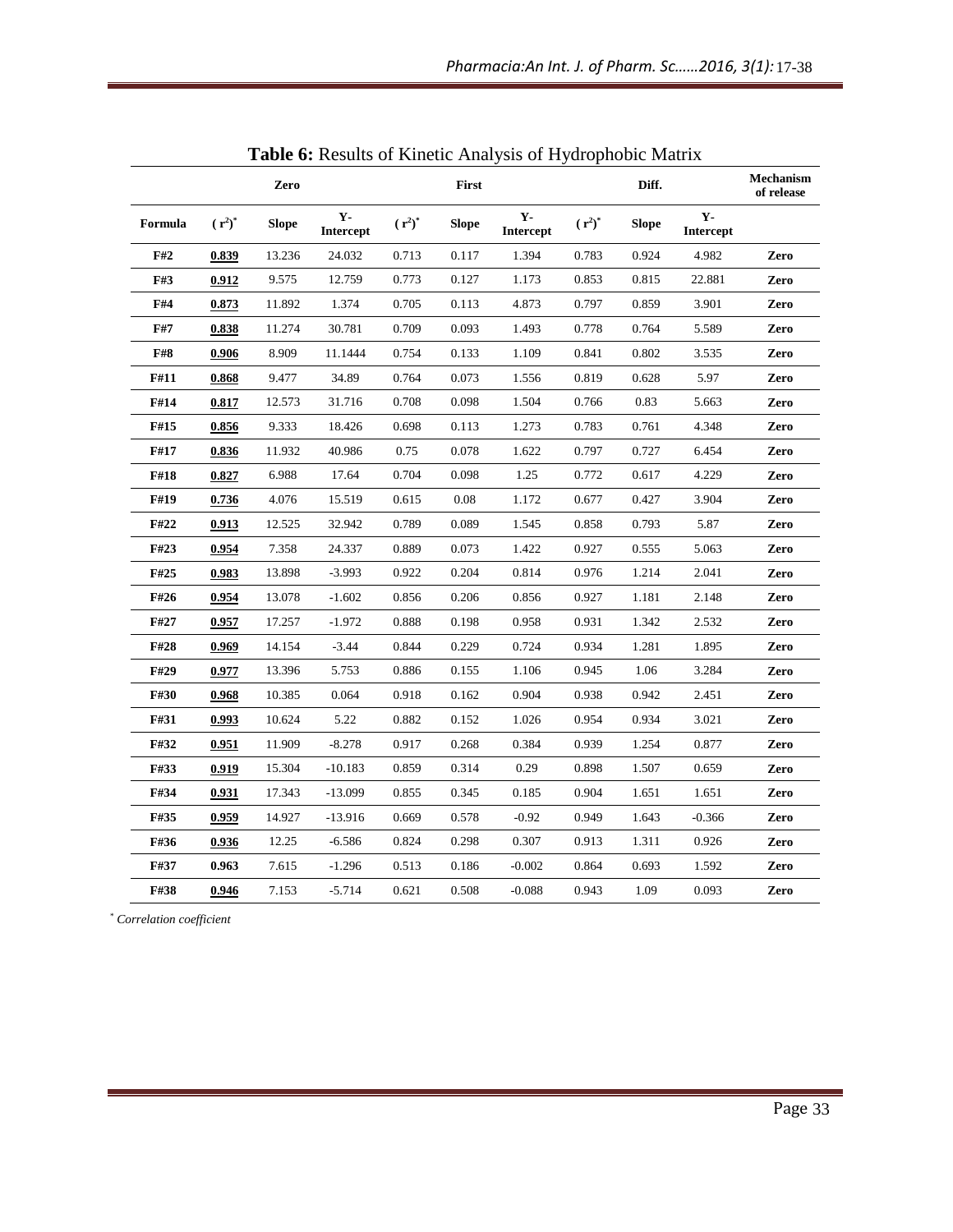|         |              | Zero         |                    |           | First        |                   |           | Diff.        |                    | Mechanism<br>of release |
|---------|--------------|--------------|--------------------|-----------|--------------|-------------------|-----------|--------------|--------------------|-------------------------|
| Formula | $(r^2)^*$    | <b>Slope</b> | $Y -$<br>Intercept | $(r^2)^*$ | <b>Slope</b> | $Y-$<br>Intercept | $(r^2)^*$ | <b>Slope</b> | $Y -$<br>Intercept |                         |
| F#2     | 0.839        | 13.236       | 24.032             | 0.713     | 0.117        | 1.394             | 0.783     | 0.924        | 4.982              | Zero                    |
| F#3     | 0.912        | 9.575        | 12.759             | 0.773     | 0.127        | 1.173             | 0.853     | 0.815        | 22.881             | Zero                    |
| F#4     | 0.873        | 11.892       | 1.374              | 0.705     | 0.113        | 4.873             | 0.797     | 0.859        | 3.901              | Zero                    |
| F#7     | 0.838        | 11.274       | 30.781             | 0.709     | 0.093        | 1.493             | 0.778     | 0.764        | 5.589              | Zero                    |
| F#8     | 0.906        | 8.909        | 11.1444            | 0.754     | 0.133        | 1.109             | 0.841     | 0.802        | 3.535              | Zero                    |
| F#11    | 0.868        | 9.477        | 34.89              | 0.764     | 0.073        | 1.556             | 0.819     | 0.628        | 5.97               | Zero                    |
| F#14    | 0.817        | 12.573       | 31.716             | 0.708     | 0.098        | 1.504             | 0.766     | 0.83         | 5.663              | Zero                    |
| F#15    | 0.856        | 9.333        | 18.426             | 0.698     | 0.113        | 1.273             | 0.783     | 0.761        | 4.348              | Zero                    |
| F#17    | 0.836        | 11.932       | 40.986             | 0.75      | 0.078        | 1.622             | 0.797     | 0.727        | 6.454              | Zero                    |
| F#18    | 0.827        | 6.988        | 17.64              | 0.704     | 0.098        | 1.25              | 0.772     | 0.617        | 4.229              | Zero                    |
| F#19    | 0.736        | 4.076        | 15.519             | 0.615     | 0.08         | 1.172             | 0.677     | 0.427        | 3.904              | Zero                    |
| F#22    | 0.913        | 12.525       | 32.942             | 0.789     | 0.089        | 1.545             | 0.858     | 0.793        | 5.87               | Zero                    |
| F#23    | <u>0.954</u> | 7.358        | 24.337             | 0.889     | 0.073        | 1.422             | 0.927     | 0.555        | 5.063              | Zero                    |
| F#25    | 0.983        | 13.898       | $-3.993$           | 0.922     | 0.204        | 0.814             | 0.976     | 1.214        | 2.041              | Zero                    |
| F#26    | 0.954        | 13.078       | $-1.602$           | 0.856     | 0.206        | 0.856             | 0.927     | 1.181        | 2.148              | Zero                    |
| F#27    | 0.957        | 17.257       | $-1.972$           | 0.888     | 0.198        | 0.958             | 0.931     | 1.342        | 2.532              | Zero                    |
| F#28    | 0.969        | 14.154       | $-3.44$            | 0.844     | 0.229        | 0.724             | 0.934     | 1.281        | 1.895              | Zero                    |
| F#29    | 0.977        | 13.396       | 5.753              | 0.886     | 0.155        | 1.106             | 0.945     | 1.06         | 3.284              | Zero                    |
| F#30    | <u>0.968</u> | 10.385       | 0.064              | 0.918     | 0.162        | 0.904             | 0.938     | 0.942        | 2.451              | Zero                    |
| F#31    | 0.993        | 10.624       | 5.22               | 0.882     | 0.152        | 1.026             | 0.954     | 0.934        | 3.021              | Zero                    |
| F#32    | 0.951        | 11.909       | $-8.278$           | 0.917     | 0.268        | 0.384             | 0.939     | 1.254        | 0.877              | Zero                    |
| F#33    | 0.919        | 15.304       | $-10.183$          | 0.859     | 0.314        | 0.29              | 0.898     | 1.507        | 0.659              | Zero                    |
| F#34    | 0.931        | 17.343       | $-13.099$          | 0.855     | 0.345        | 0.185             | 0.904     | 1.651        | 1.651              | Zero                    |
| F#35    | 0.959        | 14.927       | $-13.916$          | 0.669     | 0.578        | $-0.92$           | 0.949     | 1.643        | $-0.366$           | Zero                    |
| F#36    | 0.936        | 12.25        | $-6.586$           | 0.824     | 0.298        | 0.307             | 0.913     | 1.311        | 0.926              | Zero                    |
| F#37    | 0.963        | 7.615        | $-1.296$           | 0.513     | 0.186        | $-0.002$          | 0.864     | 0.693        | 1.592              | Zero                    |
| F#38    | 0.946        | 7.153        | $-5.714$           | 0.621     | 0.508        | $-0.088$          | 0.943     | 1.09         | 0.093              | Zero                    |

| Table 6: Results of Kinetic Analysis of Hydrophobic Matrix |  |  |  |
|------------------------------------------------------------|--|--|--|
|------------------------------------------------------------|--|--|--|

*\* Correlation coefficient*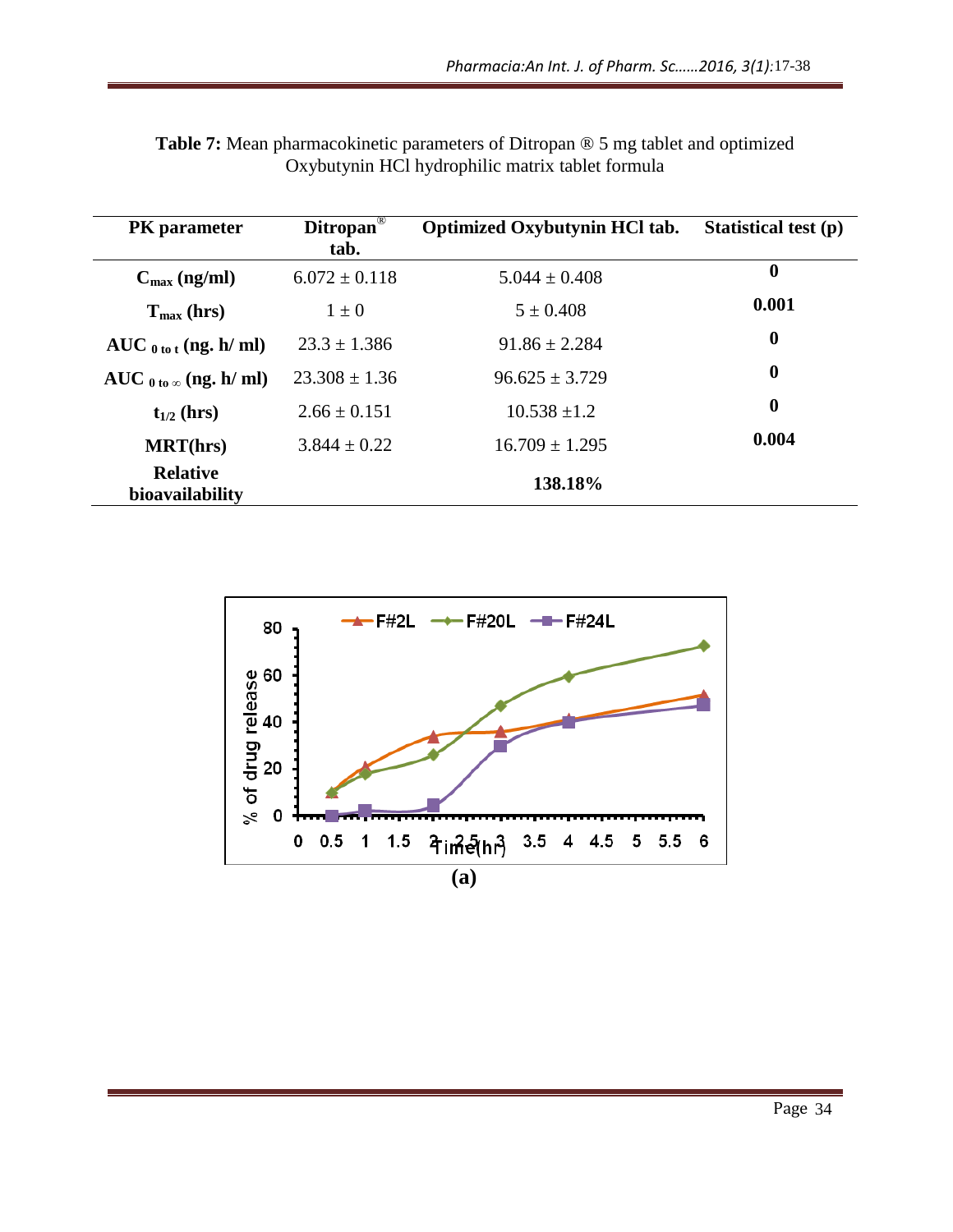| $\boldsymbol{0}$<br>$C_{\text{max}}$ (ng/ml)<br>$5.044 \pm 0.408$<br>$6.072 \pm 0.118$<br>0.001<br>$5 \pm 0.408$<br>$T_{max}$ (hrs)<br>$1 \pm 0$<br>$\boldsymbol{0}$<br>$AUC_{0\text{ to }t}$ (ng. h/ml)<br>$23.3 \pm 1.386$<br>$91.86 \pm 2.284$<br>$\bf{0}$<br>$23.308 \pm 1.36$<br>AUC $_{0 \text{ to } \infty}$ (ng. h/ ml)<br>$96.625 \pm 3.729$<br>$\boldsymbol{0}$<br>$10.538 \pm 1.2$<br>$2.66 \pm 0.151$<br>$t_{1/2}$ (hrs)<br>0.004<br>$16.709 \pm 1.295$<br><b>MRT(hrs)</b><br>$3.844 \pm 0.22$<br><b>Relative</b><br>138.18%<br>bioavailability<br><b>F#2L</b><br>-F#20L <del>-∎-</del> F#24L<br>80<br>esse<br>ក្នុង<br>ភ្នំ 40<br>$\frac{3}{8}$ of drug<br>0<br>0.5<br>1.5<br>4in $\frac{5}{3}$ (hr) 3.5 4 4.5 5 5.5 6<br>0<br>1<br>(a) | PK parameter | Ditropan <sup>®</sup><br>tab. | Optimized Oxybutynin HCl tab. | <b>Statistical test (p)</b> |
|------------------------------------------------------------------------------------------------------------------------------------------------------------------------------------------------------------------------------------------------------------------------------------------------------------------------------------------------------------------------------------------------------------------------------------------------------------------------------------------------------------------------------------------------------------------------------------------------------------------------------------------------------------------------------------------------------------------------------------------------------|--------------|-------------------------------|-------------------------------|-----------------------------|
|                                                                                                                                                                                                                                                                                                                                                                                                                                                                                                                                                                                                                                                                                                                                                      |              |                               |                               |                             |
|                                                                                                                                                                                                                                                                                                                                                                                                                                                                                                                                                                                                                                                                                                                                                      |              |                               |                               |                             |
|                                                                                                                                                                                                                                                                                                                                                                                                                                                                                                                                                                                                                                                                                                                                                      |              |                               |                               |                             |
|                                                                                                                                                                                                                                                                                                                                                                                                                                                                                                                                                                                                                                                                                                                                                      |              |                               |                               |                             |
|                                                                                                                                                                                                                                                                                                                                                                                                                                                                                                                                                                                                                                                                                                                                                      |              |                               |                               |                             |
|                                                                                                                                                                                                                                                                                                                                                                                                                                                                                                                                                                                                                                                                                                                                                      |              |                               |                               |                             |
|                                                                                                                                                                                                                                                                                                                                                                                                                                                                                                                                                                                                                                                                                                                                                      |              |                               |                               |                             |
|                                                                                                                                                                                                                                                                                                                                                                                                                                                                                                                                                                                                                                                                                                                                                      |              |                               |                               |                             |
|                                                                                                                                                                                                                                                                                                                                                                                                                                                                                                                                                                                                                                                                                                                                                      |              |                               |                               |                             |
|                                                                                                                                                                                                                                                                                                                                                                                                                                                                                                                                                                                                                                                                                                                                                      |              |                               |                               |                             |

| <b>Table 7:</b> Mean pharmacokinetic parameters of Ditropan $\circledcirc$ 5 mg tablet and optimized |  |
|------------------------------------------------------------------------------------------------------|--|
| Oxybutynin HCl hydrophilic matrix tablet formula                                                     |  |

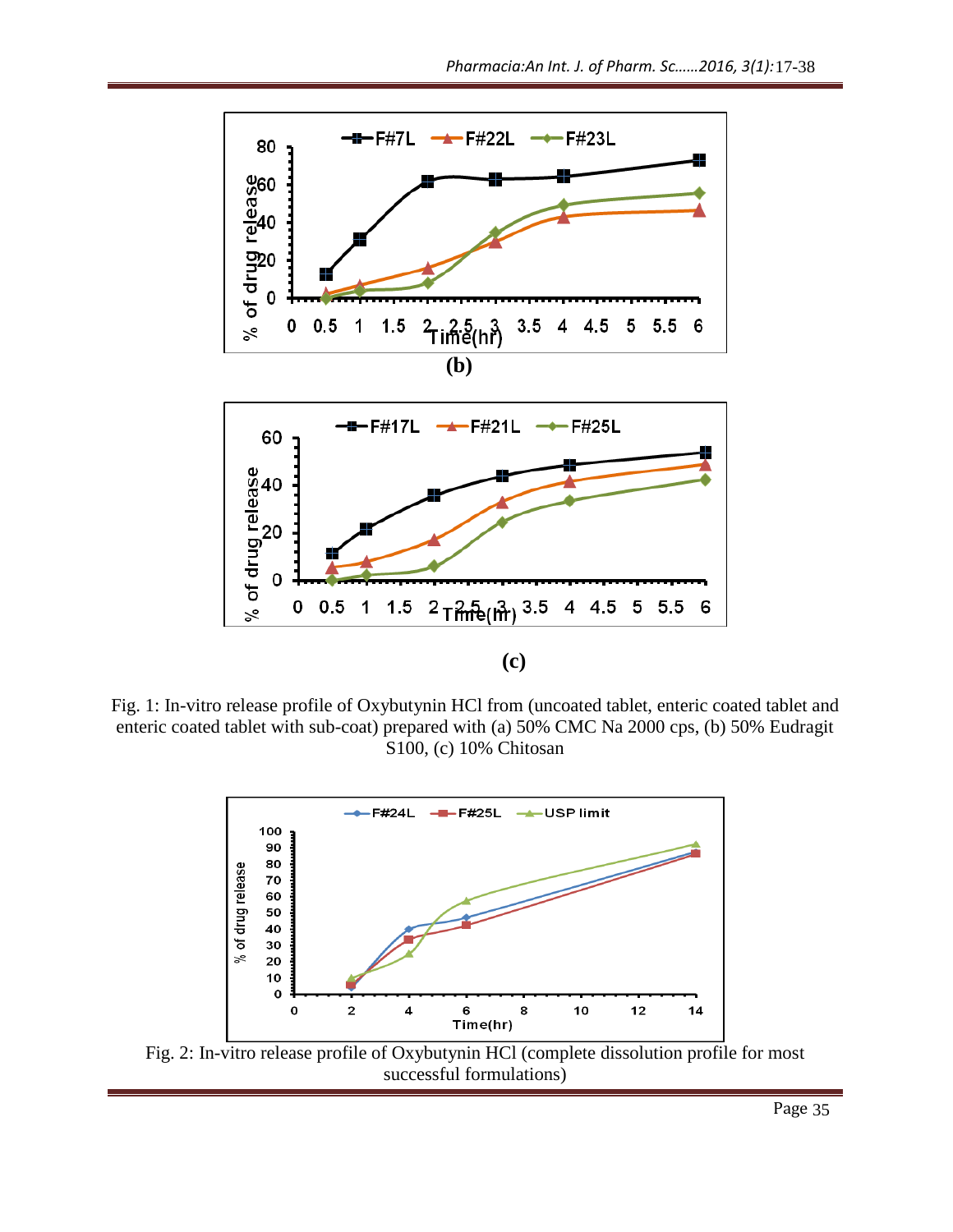

Fig. 1: In-vitro release profile of Oxybutynin HCl from (uncoated tablet, enteric coated tablet and enteric coated tablet with sub-coat) prepared with (a) 50% CMC Na 2000 cps, (b) 50% Eudragit S100, (c) 10% Chitosan 17-38<br>Eudragi<br>Page 35



successful formulations)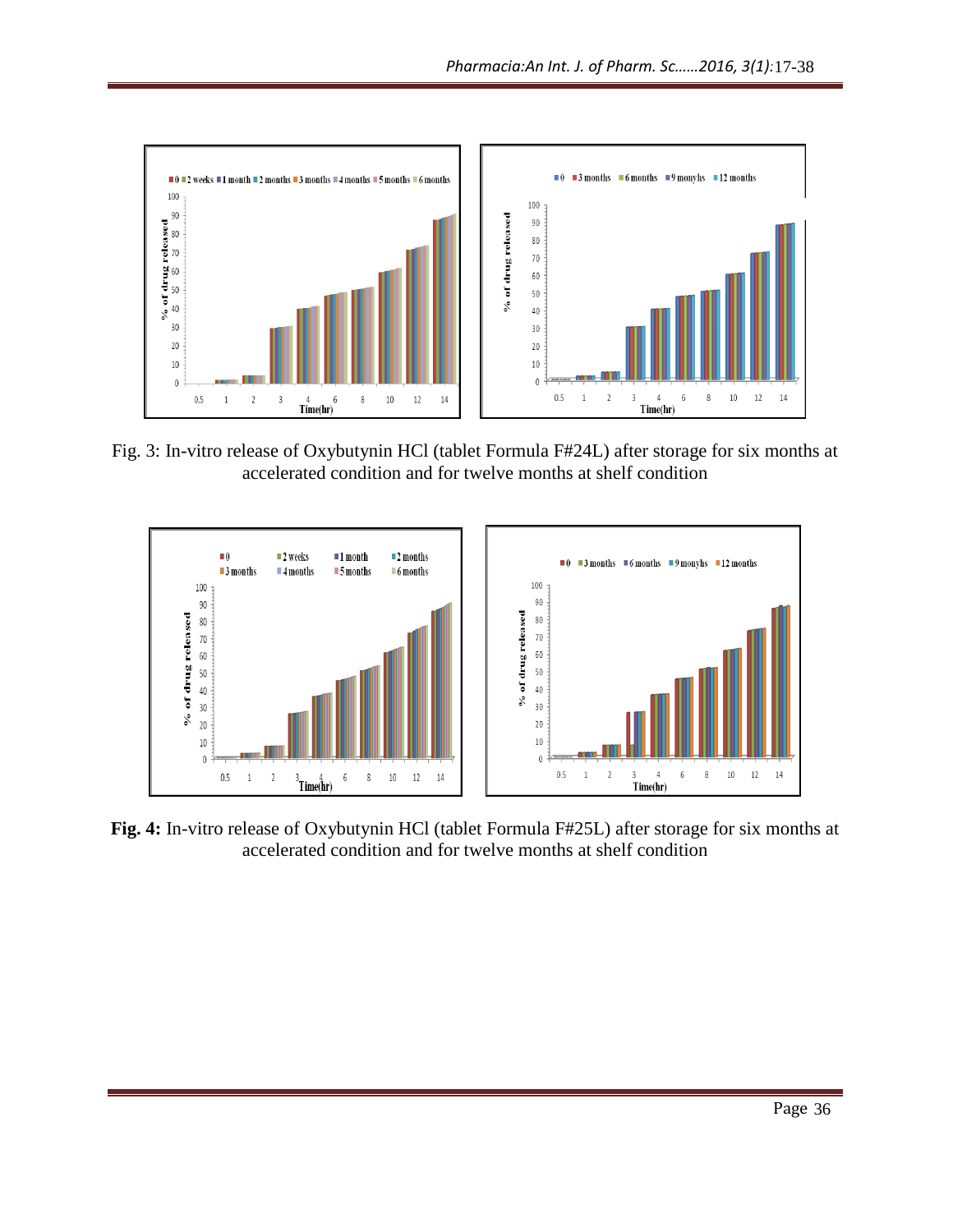

Fig. 3: In-vitro release of Oxybutynin HCl (tablet Formula F#24L) after storage for six months at accelerated condition and for twelve months at shelf condition



**Fig. 4:** In-vitro release of Oxybutynin HCl (tablet Formula F#25L) after storage for six months at accelerated condition and for twelve months at shelf condition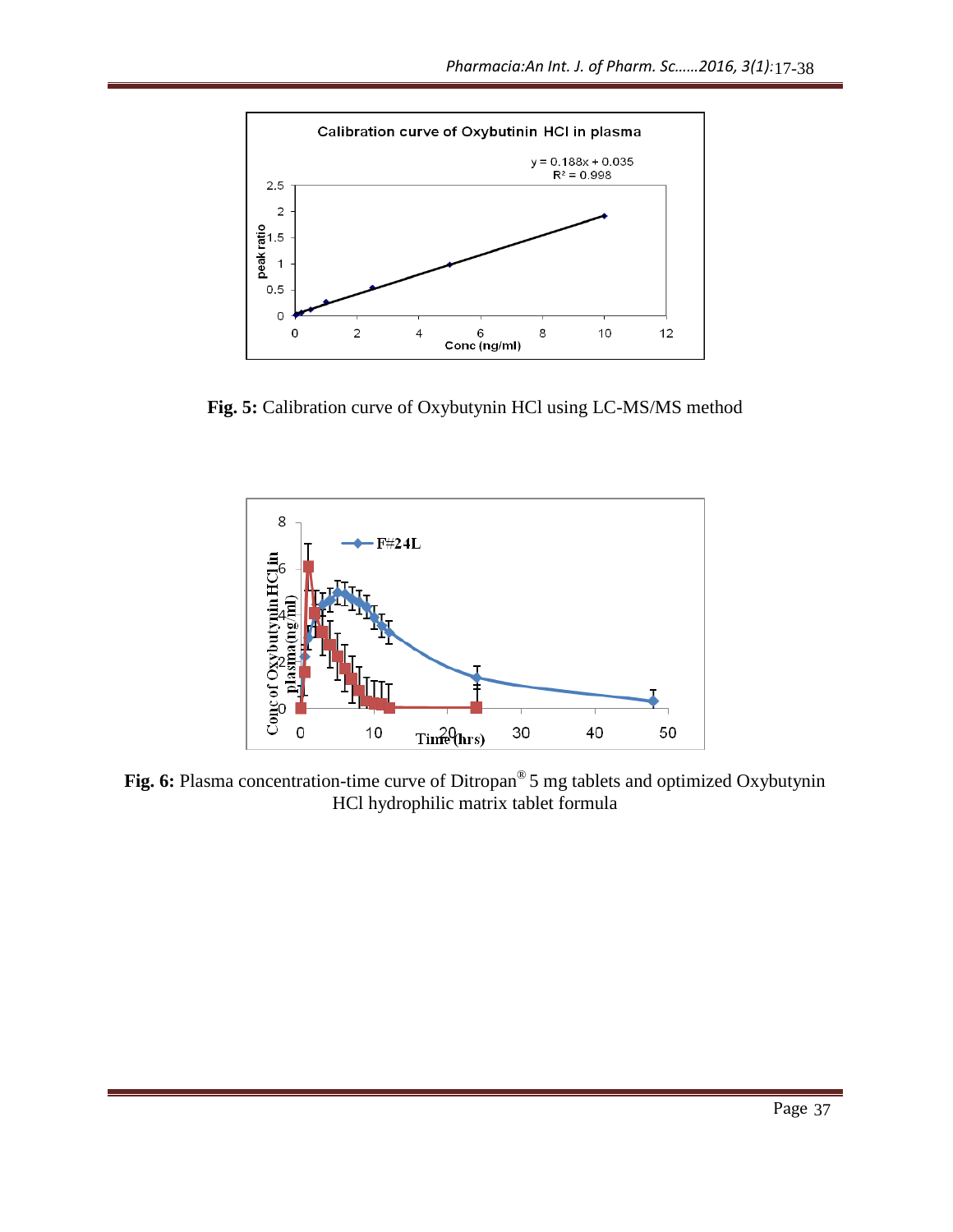

**Fig. 5:** Calibration curve of Oxybutynin HCl using LC-MS/MS method



**Fig. 6:** Plasma concentration-time curve of Ditropan® 5 mg tablets and optimized Oxybutynin HCl hydrophilic matrix tablet formula 17-38<br>
<br>
Page 37<br>
Page 37